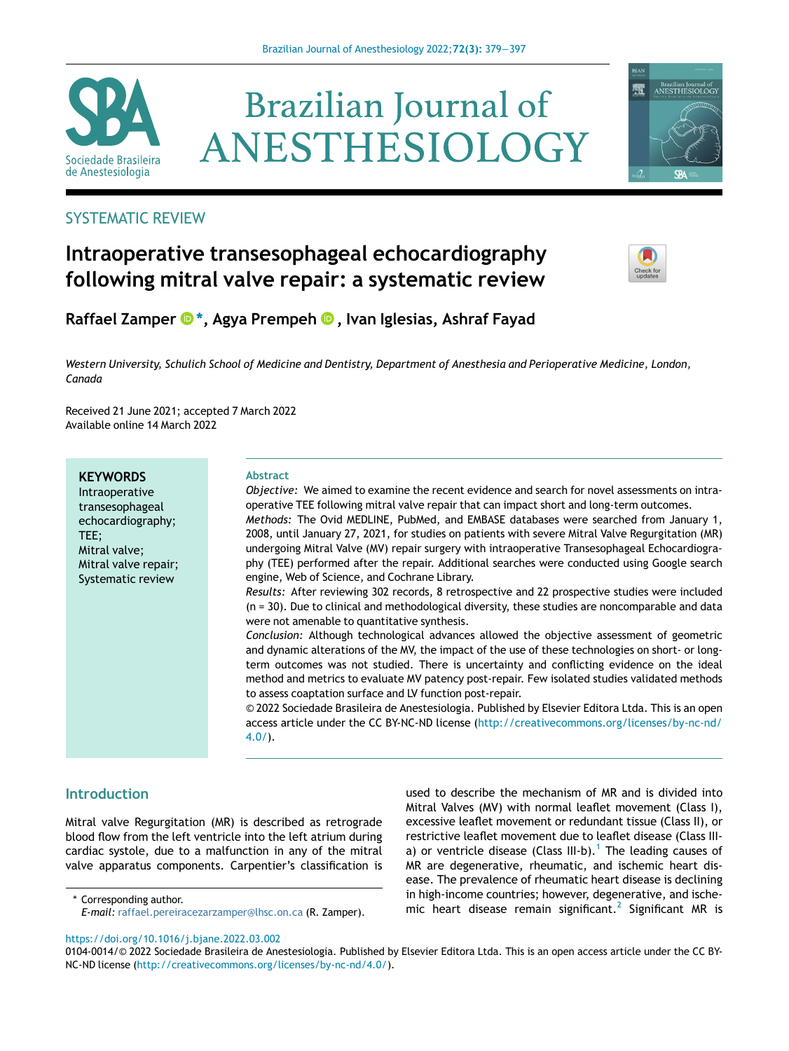

# **Brazilian Journal of** ANESTHESIOLOGY



# SYSTEMATIC REVIEW

# Intraoperative transesophageal echocardiography following mitral valve repair: a systematic review



Raffael Zamper  $\mathbf{D}^*$  $\mathbf{D}^*$ [, Agya Prempeh](http://orcid.org/0000-0001-6674-0616)  $\mathbf{D}$ [, Ivan Iglesias, Ashraf Fayad](http://orcid.org/0000-0001-6674-0616)

Western University, Schulich School of Medicine and Dentistry, Department of Anesthesia and Perioperative Medicine, London, Canada

Received 21 June 2021; accepted 7 March 2022 Available online 14 March 2022

## **KEYWORDS**

Intraoperative transesophageal echocardiography; TEE; Mitral valve; Mitral valve repair; Systematic review

#### Abstract

Objective: We aimed to examine the recent evidence and search for novel assessments on intraoperative TEE following mitral valve repair that can impact short and long-term outcomes. Methods: The Ovid MEDLINE, PubMed, and EMBASE databases were searched from January 1, 2008, until January 27, 2021, for studies on patients with severe Mitral Valve Regurgitation (MR) undergoing Mitral Valve (MV) repair surgery with intraoperative Transesophageal Echocardiography (TEE) performed after the repair. Additional searches were conducted using Google search engine, Web of Science, and Cochrane Library.

Results: After reviewing 302 records, 8 retrospective and 22 prospective studies were included (n = 30). Due to clinical and methodological diversity, these studies are noncomparable and data were not amenable to quantitative synthesis.

Conclusion: Although technological advances allowed the objective assessment of geometric and dynamic alterations of the MV, the impact of the use of these technologies on short- or longterm outcomes was not studied. There is uncertainty and conflicting evidence on the ideal method and metrics to evaluate MV patency post-repair. Few isolated studies validated methods to assess coaptation surface and LV function post-repair.

© 2022 Sociedade Brasileira de Anestesiologia. Published by Elsevier Editora Ltda. This is an open access article under the CC BY-NC-ND license [\(http://creativecommons.org/licenses/by-nc-nd/](http://creativecommons.org/licenses/by-nc-nd/4.0/) [4.0/\)](http://creativecommons.org/licenses/by-nc-nd/4.0/).

# **Introduction**

Mitral valve Regurgitation (MR) is described as retrograde blood flow from the left ventricle into the left atrium during cardiac systole, due to a malfunction in any of the mitral valve apparatus components. Carpentier's classification is

E-mail: [raffael.pereiracezarzamper@lhsc.on.ca](mailto:raffael.pereiracezarzamper@lhsc.on.ca) (R. Zamper).

used to describe the mechanism of MR and is divided into Mitral Valves (MV) with normal leaflet movement (Class I), excessive leaflet movement or redundant tissue (Class II), or restrictive leaflet movement due to leaflet disease (Class III-a) or ventricle disease (Class III-b).<sup>[1](#page-17-0)</sup> The leading causes of MR are degenerative, rheumatic, and ischemic heart disease. The prevalence of rheumatic heart disease is declining in high-income countries; however, degenerative, and ische-minigh-income countries; nowever, degenerative, and ische-<br>F-mail: raffael pereiracezarzamper@lbsc.on.ca (R. Zamper) mic. heart. disease. remain. significant.<sup>[2](#page-17-1)</sup> Significant MR is

<https://doi.org/10.1016/j.bjane.2022.03.002>

<sup>0104-0014/© 2022</sup> Sociedade Brasileira de Anestesiologia. Published by Elsevier Editora Ltda. This is an open access article under the CC BY-NC-ND license [\(http://creativecommons.org/licenses/by-nc-nd/4.0/](http://creativecommons.org/licenses/by-nc-nd/4.0/)).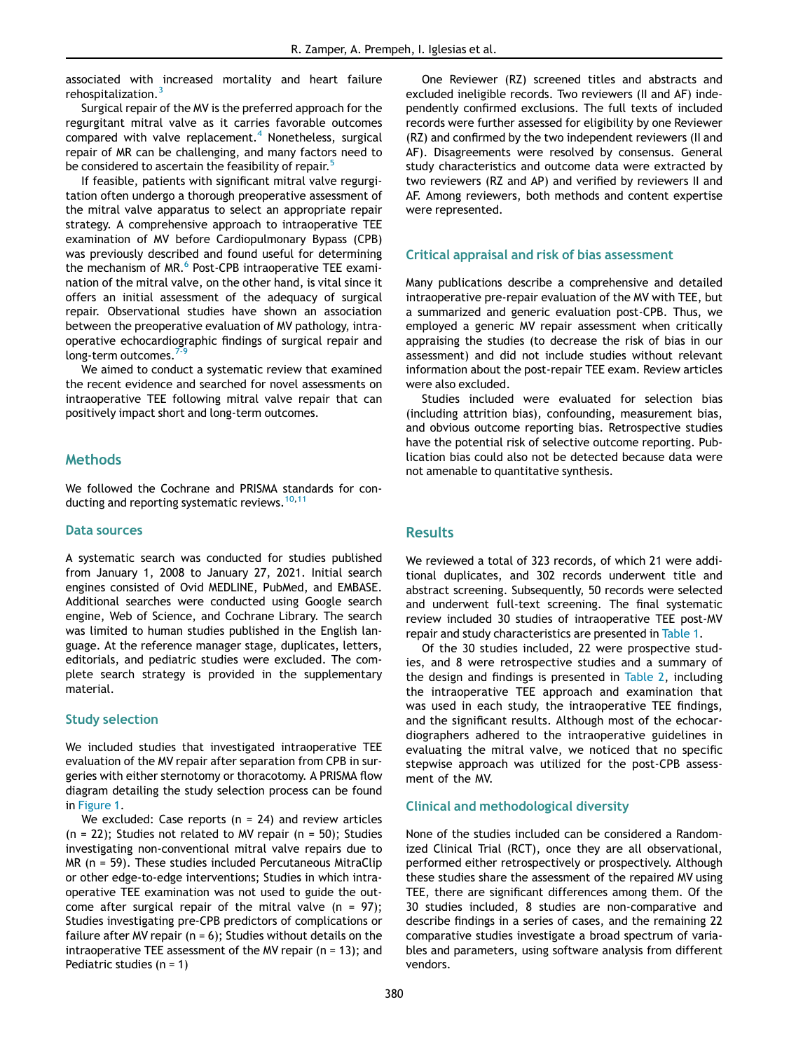associated with increased mortality and heart failure rehospitalization.<sup>[3](#page-17-2)</sup>

Surgical repair of the MV is the preferred approach for the regurgitant mitral valve as it carries favorable outcomes compared with valve replacement.<sup>[4](#page-17-3)</sup> Nonetheless, surgical repair of MR can be challenging, and many factors need to be considered to ascertain the feasibility of repair.<sup>5</sup>

If feasible, patients with significant mitral valve regurgitation often undergo a thorough preoperative assessment of the mitral valve apparatus to select an appropriate repair strategy. A comprehensive approach to intraoperative TEE examination of MV before Cardiopulmonary Bypass (CPB) was previously described and found useful for determining the mechanism of MR.<sup>[6](#page-17-5)</sup> Post-CPB intraoperative TEE examination of the mitral valve, on the other hand, is vital since it offers an initial assessment of the adequacy of surgical repair. Observational studies have shown an association between the preoperative evaluation of MV pathology, intraoperative echocardiographic findings of surgical repair and long-term outcomes. $7<sup>7</sup>$ 

We aimed to conduct a systematic review that examined the recent evidence and searched for novel assessments on intraoperative TEE following mitral valve repair that can positively impact short and long-term outcomes.

#### **Methods**

We followed the Cochrane and PRISMA standards for con-ducting and reporting systematic reviews.<sup>[10](#page-17-7),[11](#page-17-8)</sup>

#### Data sources

A systematic search was conducted for studies published from January 1, 2008 to January 27, 2021. Initial search engines consisted of Ovid MEDLINE, PubMed, and EMBASE. Additional searches were conducted using Google search engine, Web of Science, and Cochrane Library. The search was limited to human studies published in the English language. At the reference manager stage, duplicates, letters, editorials, and pediatric studies were excluded. The complete search strategy is provided in the supplementary material.

#### Study selection

We included studies that investigated intraoperative TEE evaluation of the MV repair after separation from CPB in surgeries with either sternotomy or thoracotomy. A PRISMA flow diagram detailing the study selection process can be found in [Figure 1.](#page-2-0)

We excluded: Case reports ( $n = 24$ ) and review articles  $(n = 22)$ ; Studies not related to MV repair  $(n = 50)$ ; Studies investigating non-conventional mitral valve repairs due to MR (n = 59). These studies included Percutaneous MitraClip or other edge-to-edge interventions; Studies in which intraoperative TEE examination was not used to guide the outcome after surgical repair of the mitral valve ( $n = 97$ ); Studies investigating pre-CPB predictors of complications or failure after MV repair  $(n = 6)$ ; Studies without details on the intraoperative TEE assessment of the MV repair (n = 13); and Pediatric studies (n = 1)

One Reviewer (RZ) screened titles and abstracts and excluded ineligible records. Two reviewers (II and AF) independently confirmed exclusions. The full texts of included records were further assessed for eligibility by one Reviewer (RZ) and confirmed by the two independent reviewers (II and AF). Disagreements were resolved by consensus. General study characteristics and outcome data were extracted by two reviewers (RZ and AP) and verified by reviewers II and AF. Among reviewers, both methods and content expertise were represented.

#### Critical appraisal and risk of bias assessment

Many publications describe a comprehensive and detailed intraoperative pre-repair evaluation of the MV with TEE, but a summarized and generic evaluation post-CPB. Thus, we employed a generic MV repair assessment when critically appraising the studies (to decrease the risk of bias in our assessment) and did not include studies without relevant information about the post-repair TEE exam. Review articles were also excluded.

Studies included were evaluated for selection bias (including attrition bias), confounding, measurement bias, and obvious outcome reporting bias. Retrospective studies have the potential risk of selective outcome reporting. Publication bias could also not be detected because data were not amenable to quantitative synthesis.

#### **Results**

We reviewed a total of 323 records, of which 21 were additional duplicates, and 302 records underwent title and abstract screening. Subsequently, 50 records were selected and underwent full-text screening. The final systematic review included 30 studies of intraoperative TEE post-MV repair and study characteristics are presented in [Table 1.](#page-3-0)

Of the 30 studies included, 22 were prospective studies, and 8 were retrospective studies and a summary of the design and findings is presented in [Table 2,](#page-5-0) including the intraoperative TEE approach and examination that was used in each study, the intraoperative TEE findings, and the significant results. Although most of the echocardiographers adhered to the intraoperative guidelines in evaluating the mitral valve, we noticed that no specific stepwise approach was utilized for the post-CPB assessment of the MV.

#### Clinical and methodological diversity

None of the studies included can be considered a Randomized Clinical Trial (RCT), once they are all observational, performed either retrospectively or prospectively. Although these studies share the assessment of the repaired MV using TEE, there are significant differences among them. Of the 30 studies included, 8 studies are non-comparative and describe findings in a series of cases, and the remaining 22 comparative studies investigate a broad spectrum of variables and parameters, using software analysis from different vendors.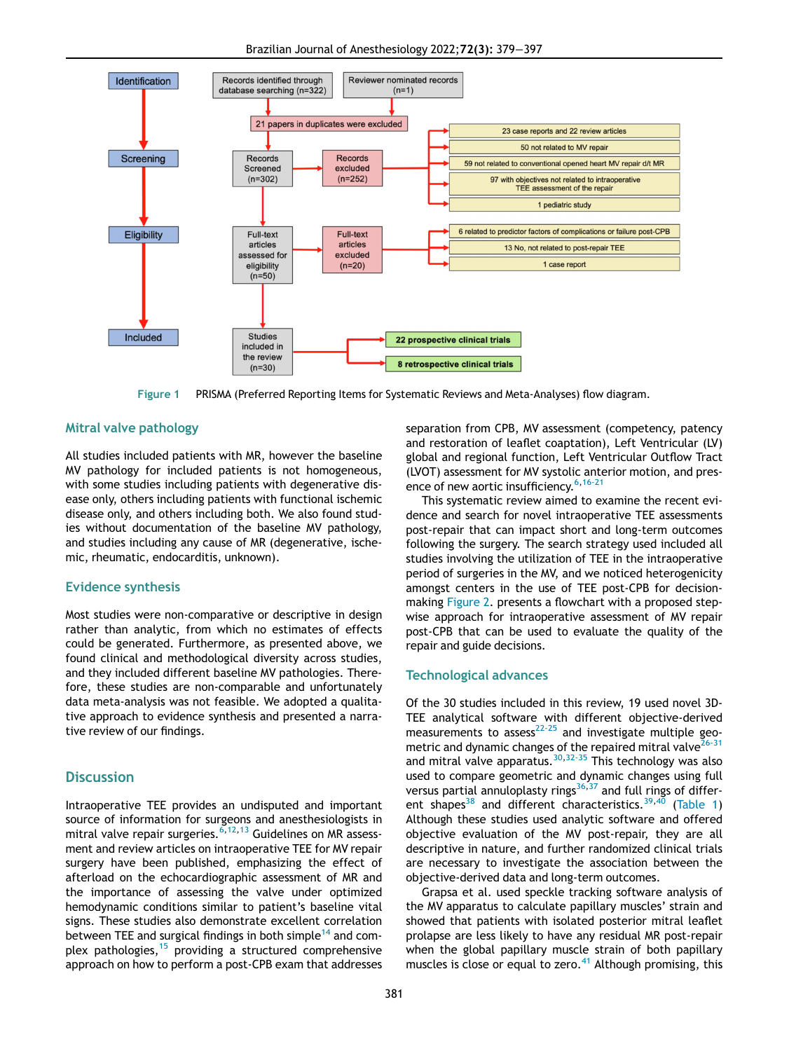Brazilian Journal of Anesthesiology 2022;72(3): 379−397

<span id="page-2-0"></span>

Figure 1 PRISMA (Preferred Reporting Items for Systematic Reviews and Meta-Analyses) flow diagram.

#### Mitral valve pathology

All studies included patients with MR, however the baseline MV pathology for included patients is not homogeneous, with some studies including patients with degenerative disease only, others including patients with functional ischemic disease only, and others including both. We also found studies without documentation of the baseline MV pathology, and studies including any cause of MR (degenerative, ischemic, rheumatic, endocarditis, unknown).

#### Evidence synthesis

Most studies were non-comparative or descriptive in design rather than analytic, from which no estimates of effects could be generated. Furthermore, as presented above, we found clinical and methodological diversity across studies, and they included different baseline MV pathologies. Therefore, these studies are non-comparable and unfortunately data meta-analysis was not feasible. We adopted a qualitative approach to evidence synthesis and presented a narrative review of our findings.

#### **Discussion**

Intraoperative TEE provides an undisputed and important source of information for surgeons and anesthesiologists in mitral valve repair surgeries. $^{6,12,13}$  $^{6,12,13}$  $^{6,12,13}$  $^{6,12,13}$  $^{6,12,13}$  $^{6,12,13}$  Guidelines on MR assessment and review articles on intraoperative TEE for MV repair surgery have been published, emphasizing the effect of afterload on the echocardiographic assessment of MR and the importance of assessing the valve under optimized hemodynamic conditions similar to patient's baseline vital signs. These studies also demonstrate excellent correlation between TEE and surgical findings in both simple<sup>[14](#page-17-11)</sup> and complex pathologies, $15$  providing a structured comprehensive approach on how to perform a post-CPB exam that addresses separation from CPB, MV assessment (competency, patency and restoration of leaflet coaptation), Left Ventricular (LV) global and regional function, Left Ventricular Outflow Tract (LVOT) assessment for MV systolic anterior motion, and pres-ence of new aortic insufficiency.<sup>[6](#page-17-5),[16-21](#page-17-13)</sup>

This systematic review aimed to examine the recent evidence and search for novel intraoperative TEE assessments post-repair that can impact short and long-term outcomes following the surgery. The search strategy used included all studies involving the utilization of TEE in the intraoperative period of surgeries in the MV, and we noticed heterogenicity amongst centers in the use of TEE post-CPB for decisionmaking [Figure 2.](#page-16-0) presents a flowchart with a proposed stepwise approach for intraoperative assessment of MV repair post-CPB that can be used to evaluate the quality of the repair and guide decisions.

#### Technological advances

Of the 30 studies included in this review, 19 used novel 3D-TEE analytical software with different objective-derived  $m = \frac{1}{2}$  and  $m = 2$  and investigate multiple geometric and dynamic changes of the repaired mitral valve $26-31$ and mitral valve apparatus.  $30,32-35$  $30,32-35$  This technology was also used to compare geometric and dynamic changes using full versus partial annuloplasty rings $36,37$  $36,37$  $36,37$  and full rings of differ-ent shapes<sup>[38](#page-17-20)</sup> and different characteristics.<sup>[39](#page-17-21),[40](#page-18-0)</sup> [\(Table 1](#page-3-0)) Although these studies used analytic software and offered objective evaluation of the MV post-repair, they are all descriptive in nature, and further randomized clinical trials are necessary to investigate the association between the objective-derived data and long-term outcomes.

Grapsa et al. used speckle tracking software analysis of the MV apparatus to calculate papillary muscles' strain and showed that patients with isolated posterior mitral leaflet prolapse are less likely to have any residual MR post-repair when the global papillary muscle strain of both papillary muscles is close or equal to zero. $41$  Although promising, this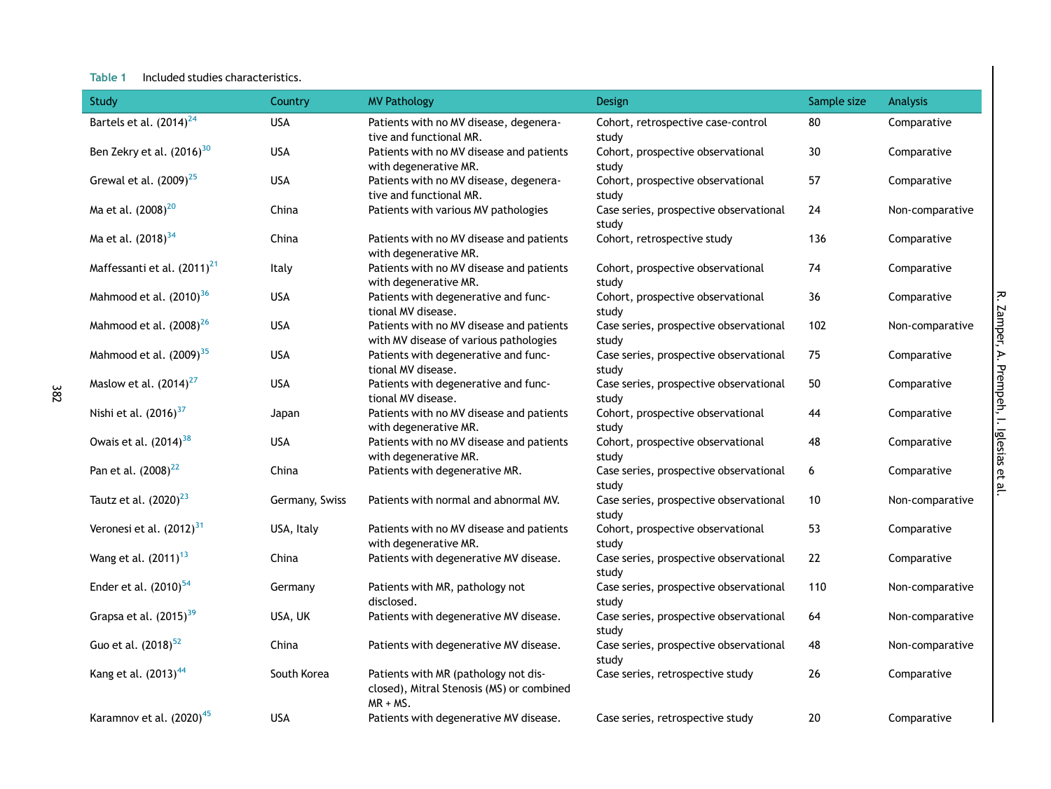#### Table 1 Included studies characteristics.

382

<span id="page-3-0"></span>

| Study                                   | Country        | <b>MV Pathology</b>                                                                              | Design                                          | Sample size | <b>Analysis</b> |
|-----------------------------------------|----------------|--------------------------------------------------------------------------------------------------|-------------------------------------------------|-------------|-----------------|
| Bartels et al. (2014) <sup>24</sup>     | <b>USA</b>     | Patients with no MV disease, degenera-<br>tive and functional MR.                                | Cohort, retrospective case-control<br>study     | 80          | Comparative     |
| Ben Zekry et al. (2016) <sup>30</sup>   | <b>USA</b>     | Patients with no MV disease and patients<br>with degenerative MR.                                | Cohort, prospective observational<br>study      | 30          | Comparative     |
| Grewal et al. $(2009)^{25}$             | <b>USA</b>     | Patients with no MV disease, degenera-<br>tive and functional MR.                                | Cohort, prospective observational<br>study      | 57          | Comparative     |
| Ma et al. (2008) <sup>20</sup>          | China          | Patients with various MV pathologies                                                             | Case series, prospective observational<br>study | 24          | Non-comparative |
| Ma et al. (2018) <sup>34</sup>          | China          | Patients with no MV disease and patients<br>with degenerative MR.                                | Cohort, retrospective study                     | 136         | Comparative     |
| Maffessanti et al. (2011) <sup>21</sup> | Italy          | Patients with no MV disease and patients<br>with degenerative MR.                                | Cohort, prospective observational<br>study      | 74          | Comparative     |
| Mahmood et al. (2010) <sup>36</sup>     | <b>USA</b>     | Patients with degenerative and func-<br>tional MV disease.                                       | Cohort, prospective observational<br>study      | 36          | Comparative     |
| Mahmood et al. (2008) <sup>26</sup>     | <b>USA</b>     | Patients with no MV disease and patients<br>with MV disease of various pathologies               | Case series, prospective observational<br>study | 102         | Non-comparative |
| Mahmood et al. (2009) <sup>35</sup>     | <b>USA</b>     | Patients with degenerative and func-<br>tional MV disease.                                       | Case series, prospective observational<br>study | 75          | Comparative     |
| Maslow et al. $(2014)^{27}$             | <b>USA</b>     | Patients with degenerative and func-<br>tional MV disease.                                       | Case series, prospective observational<br>study | 50          | Comparative     |
| Nishi et al. (2016) <sup>37</sup>       | Japan          | Patients with no MV disease and patients<br>with degenerative MR.                                | Cohort, prospective observational<br>study      | 44          | Comparative     |
| Owais et al. (2014) <sup>38</sup>       | <b>USA</b>     | Patients with no MV disease and patients<br>with degenerative MR.                                | Cohort, prospective observational<br>study      | 48          | Comparative     |
| Pan et al. (2008) <sup>22</sup>         | China          | Patients with degenerative MR.                                                                   | Case series, prospective observational<br>study | 6           | Comparative     |
| Tautz et al. $(2020)^{23}$              | Germany, Swiss | Patients with normal and abnormal MV.                                                            | Case series, prospective observational<br>study | $10\,$      | Non-comparative |
| Veronesi et al. $(2012)^{31}$           | USA, Italy     | Patients with no MV disease and patients<br>with degenerative MR.                                | Cohort, prospective observational<br>study      | 53          | Comparative     |
| Wang et al. (2011) <sup>13</sup>        | China          | Patients with degenerative MV disease.                                                           | Case series, prospective observational<br>study | 22          | Comparative     |
| Ender et al. $(2010)^{54}$              | Germany        | Patients with MR, pathology not<br>disclosed.                                                    | Case series, prospective observational<br>study | 110         | Non-comparative |
| Grapsa et al. (2015) <sup>39</sup>      | USA, UK        | Patients with degenerative MV disease.                                                           | Case series, prospective observational<br>study | 64          | Non-comparative |
| Guo et al. (2018) <sup>52</sup>         | China          | Patients with degenerative MV disease.                                                           | Case series, prospective observational<br>study | 48          | Non-comparative |
| Kang et al. (2013) <sup>44</sup>        | South Korea    | Patients with MR (pathology not dis-<br>closed), Mitral Stenosis (MS) or combined<br>$MR + MS$ . | Case series, retrospective study                | 26          | Comparative     |
| Karamnov et al. (2020) <sup>45</sup>    | <b>USA</b>     | Patients with degenerative MV disease.                                                           | Case series, retrospective study                | 20          | Comparative     |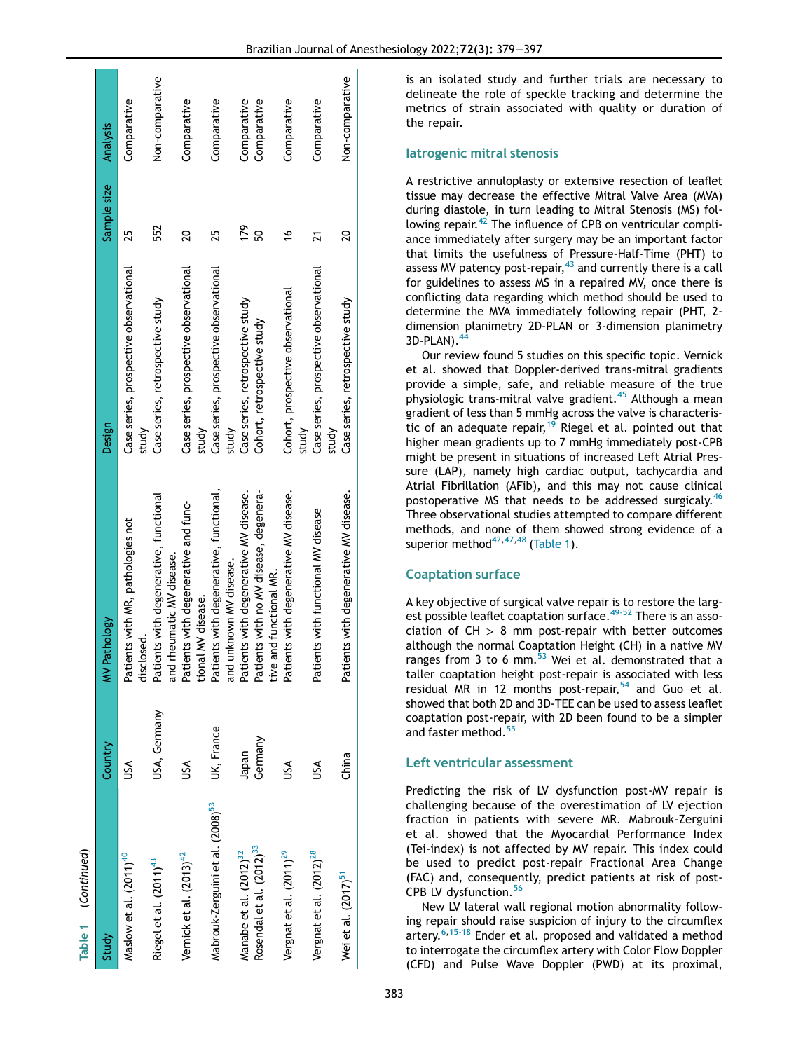| $\overline{\phantom{a}}$<br> <br> <br> <br>  |              |                                                                      |                                                 |               |                 |
|----------------------------------------------|--------------|----------------------------------------------------------------------|-------------------------------------------------|---------------|-----------------|
| Study                                        | Country      | Pathology<br>≩                                                       | Design                                          | Sample size   | Analysis        |
| Maslow et al. (2011) <sup>40</sup>           | š            | Patients with MR, pathologies not<br>disclosed.                      | Case series, prospective observational<br>study | 25            | Comparative     |
| Riegel et al. (2011) <sup>43</sup>           | USA, Germany | Patients with degenerative, functional<br>and rheumatic MV disease.  | Case series, retrospective study                | 552           | Non-comparative |
| Vernick et al. (2013) <sup>42</sup>          | š            | Patients with degenerative and func-<br>tional MV disease.           | Case series, prospective observational<br>study | 20            | Comparative     |
| Mabrouk-Zerguini et al. (2008) <sup>53</sup> | UK, France   | Patients with degenerative, functional,<br>and unknown MV disease.   | Case series, prospective observational<br>study | 25            | Comparative     |
| Manabe et al. (2012) <sup>32</sup>           | Japan        | Patients with degenerative MV disease.                               | Case series, retrospective study                | 179           | Comparative     |
| Rosendal et al. (2012) <sup>33</sup>         | Germany      | Patients with no MV disease, degenera-<br>and functional MR.<br>tive | Cohort, retrospective study                     | ន             | Comparative     |
| Vergnat et al. (2011) <sup>29</sup>          | ₹            | Patients with degenerative MV disease.                               | Cohort, prospective observational<br>study      | $\frac{6}{1}$ | Comparative     |
| Vergnat et al. (2012) <sup>28</sup>          | Š            | Patients with functional MV disease                                  | Case series, prospective observational<br>study |               | Comparative     |
| Weietal. (2017) <sup>51</sup>                | China        | Patients with degenerative MV disease.                               | Case series, retrospective study                |               | Non-comparative |
|                                              |              |                                                                      |                                                 |               |                 |

is an isolated study and further trials are necessary to delineate the role of speckle tracking and determine the metrics of strain associated with quality or duration of the repair.

#### Iatrogenic mitral stenosis

A restrictive annuloplasty or extensive resection of leaflet tissue may decrease the effective Mitral Valve Area (MVA) during diastole, in turn leading to Mitral Stenosis (MS) following repair.<sup>42</sup> The influence of CPB on ventricular compliance immediately after surgery may be an important factor that limits the usefulness of Pressure-Half-Time (PHT) to assess MV patency post-repair,  $43$  and currently there is a call for guidelines to assess MS in a repaired MV, once there is conflicting data regarding which method should be used to determine the MVA immediately following repair (PHT, 2 dimension planimetry 2D-PLAN or 3-dimension planimetry  $3D-PLAN$ ).<sup>4</sup>

Our review found 5 studies on this specific topic. Vernick et al. showed that Doppler-derived trans-mitral gradients provide a simple, safe, and reliable measure of the true physiologic trans-mitral valve gradient.<sup>45</sup> Although a mean gradient of less than 5 mmHg across the valve is characteris-tic of an adequate repair,<sup>[19](#page-17-39)</sup> Riegel et al. pointed out that higher mean gradients up to 7 mmHg immediately post-CPB might be present in situations of increased Left Atrial Pressure (LAP), namely high cardiac output, tachycardia and Atrial Fibrillation (AFib), and this may not cause clinical postoperative MS that needs to be addressed surgicaly.[46](#page-18-10) Three observational studies attempted to compare different methods, and none of them showed strong evidence of a superior method $42,47,48$  $42,47,48$  $42,47,48$  ([Table 1\)](#page-3-0).

#### Coaptation surface

A key objective of surgical valve repair is to restore the larg-est possible leaflet coaptation surface.<sup>[49-52](#page-18-13)</sup> There is an association of  $CH > 8$  mm post-repair with better outcomes although the normal Coaptation Height (CH) in a native MV ranges from 3 to 6 mm. $^{53}$  $^{53}$  $^{53}$  Wei et al. demonstrated that a taller coaptation height post-repair is associated with less residual MR in 12 months post-repair,  $54$  and Guo et al. showed that both 2D and 3D-TEE can be used to assess leaflet coaptation post-repair, with 2D been found to be a simpler and faster method.<sup>[55](#page-18-16)</sup>

#### Left ventricular assessment

Predicting the risk of LV dysfunction post-MV repair is challenging because of the overestimation of LV ejection fraction in patients with severe MR. Mabrouk-Zerguini et al. showed that the Myocardial Performance Index (Tei-index) is not affected by MV repair. This index could be used to predict post-repair Fractional Area Change (FAC) and, consequently, predict patients at risk of post-CPB LV dysfunction.<sup>[56](#page-18-17)</sup>

New LV lateral wall regional motion abnormality following repair should raise suspicion of injury to the circumflex artery.<sup>[6,](#page-17-5)[15-18](#page-17-12)</sup> Ender et al. proposed and validated a method to interrogate the circumflex artery with Color Flow Doppler (CFD) and Pulse Wave Doppler (PWD) at its proximal,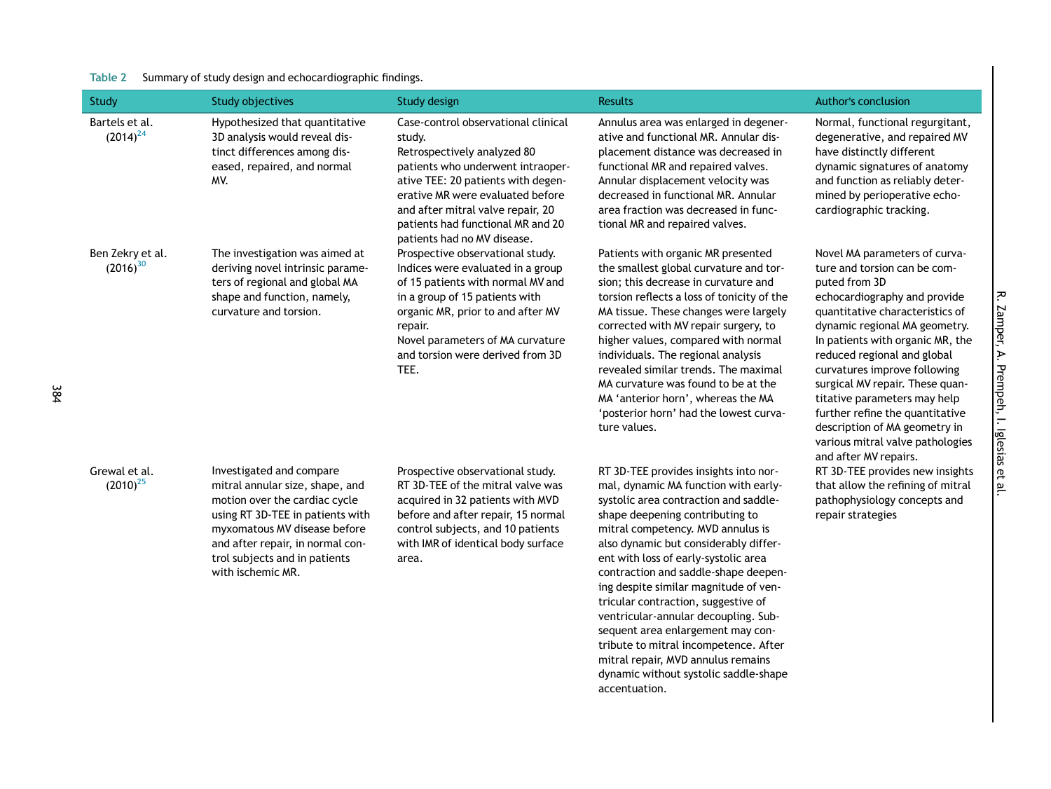#### Table 2 Summary of study design and echocardiographic findings.

<span id="page-5-0"></span>

| Study                             | Study objectives                                                                                                                                                                                                                                           | Study design                                                                                                                                                                                                                                                                                         | <b>Results</b>                                                                                                                                                                                                                                                                                                                                                                                                                                                                                                                                                      | Author's conclusion                                                                                                                                                                                                                                                                                                                                                                                                                                                                       |
|-----------------------------------|------------------------------------------------------------------------------------------------------------------------------------------------------------------------------------------------------------------------------------------------------------|------------------------------------------------------------------------------------------------------------------------------------------------------------------------------------------------------------------------------------------------------------------------------------------------------|---------------------------------------------------------------------------------------------------------------------------------------------------------------------------------------------------------------------------------------------------------------------------------------------------------------------------------------------------------------------------------------------------------------------------------------------------------------------------------------------------------------------------------------------------------------------|-------------------------------------------------------------------------------------------------------------------------------------------------------------------------------------------------------------------------------------------------------------------------------------------------------------------------------------------------------------------------------------------------------------------------------------------------------------------------------------------|
| Bartels et al.<br>$(2014)^{24}$   | Hypothesized that quantitative<br>3D analysis would reveal dis-<br>tinct differences among dis-<br>eased, repaired, and normal<br>MV.                                                                                                                      | Case-control observational clinical<br>study.<br>Retrospectively analyzed 80<br>patients who underwent intraoper-<br>ative TEE: 20 patients with degen-<br>erative MR were evaluated before<br>and after mitral valve repair, 20<br>patients had functional MR and 20<br>patients had no MV disease. | Annulus area was enlarged in degener-<br>ative and functional MR. Annular dis-<br>placement distance was decreased in<br>functional MR and repaired valves.<br>Annular displacement velocity was<br>decreased in functional MR. Annular<br>area fraction was decreased in func-<br>tional MR and repaired valves.                                                                                                                                                                                                                                                   | Normal, functional regurgitant,<br>degenerative, and repaired MV<br>have distinctly different<br>dynamic signatures of anatomy<br>and function as reliably deter-<br>mined by perioperative echo-<br>cardiographic tracking.                                                                                                                                                                                                                                                              |
| Ben Zekry et al.<br>$(2016)^{30}$ | The investigation was aimed at<br>deriving novel intrinsic parame-<br>ters of regional and global MA<br>shape and function, namely,<br>curvature and torsion.                                                                                              | Prospective observational study.<br>Indices were evaluated in a group<br>of 15 patients with normal MV and<br>in a group of 15 patients with<br>organic MR, prior to and after MV<br>repair.<br>Novel parameters of MA curvature<br>and torsion were derived from 3D<br>TEE.                         | Patients with organic MR presented<br>the smallest global curvature and tor-<br>sion; this decrease in curvature and<br>torsion reflects a loss of tonicity of the<br>MA tissue. These changes were largely<br>corrected with MV repair surgery, to<br>higher values, compared with normal<br>individuals. The regional analysis<br>revealed similar trends. The maximal<br>MA curvature was found to be at the<br>MA 'anterior horn', whereas the MA<br>'posterior horn' had the lowest curva-<br>ture values.                                                     | Novel MA parameters of curva-<br>ture and torsion can be com-<br>puted from 3D<br>echocardiography and provide<br>quantitative characteristics of<br>dynamic regional MA geometry.<br>In patients with organic MR, the<br>reduced regional and global<br>curvatures improve following<br>surgical MV repair. These quan-<br>titative parameters may help<br>further refine the quantitative<br>description of MA geometry in<br>various mitral valve pathologies<br>and after MV repairs. |
| Grewal et al.<br>$(2010)^{25}$    | Investigated and compare<br>mitral annular size, shape, and<br>motion over the cardiac cycle<br>using RT 3D-TEE in patients with<br>myxomatous MV disease before<br>and after repair, in normal con-<br>trol subjects and in patients<br>with ischemic MR. | Prospective observational study.<br>RT 3D-TEE of the mitral valve was<br>acquired in 32 patients with MVD<br>before and after repair, 15 normal<br>control subjects, and 10 patients<br>with IMR of identical body surface<br>area.                                                                  | RT 3D-TEE provides insights into nor-<br>mal, dynamic MA function with early-<br>systolic area contraction and saddle-<br>shape deepening contributing to<br>mitral competency. MVD annulus is<br>also dynamic but considerably differ-<br>ent with loss of early-systolic area<br>contraction and saddle-shape deepen-<br>ing despite similar magnitude of ven-<br>tricular contraction, suggestive of<br>ventricular-annular decoupling. Sub-<br>sequent area enlargement may con-<br>tribute to mitral incompetence. After<br>mitral repair, MVD annulus remains | RT 3D-TEE provides new insights<br>that allow the refining of mitral<br>pathophysiology concepts and<br>repair strategies                                                                                                                                                                                                                                                                                                                                                                 |

dynamic without systolic saddle-shape

accentuation.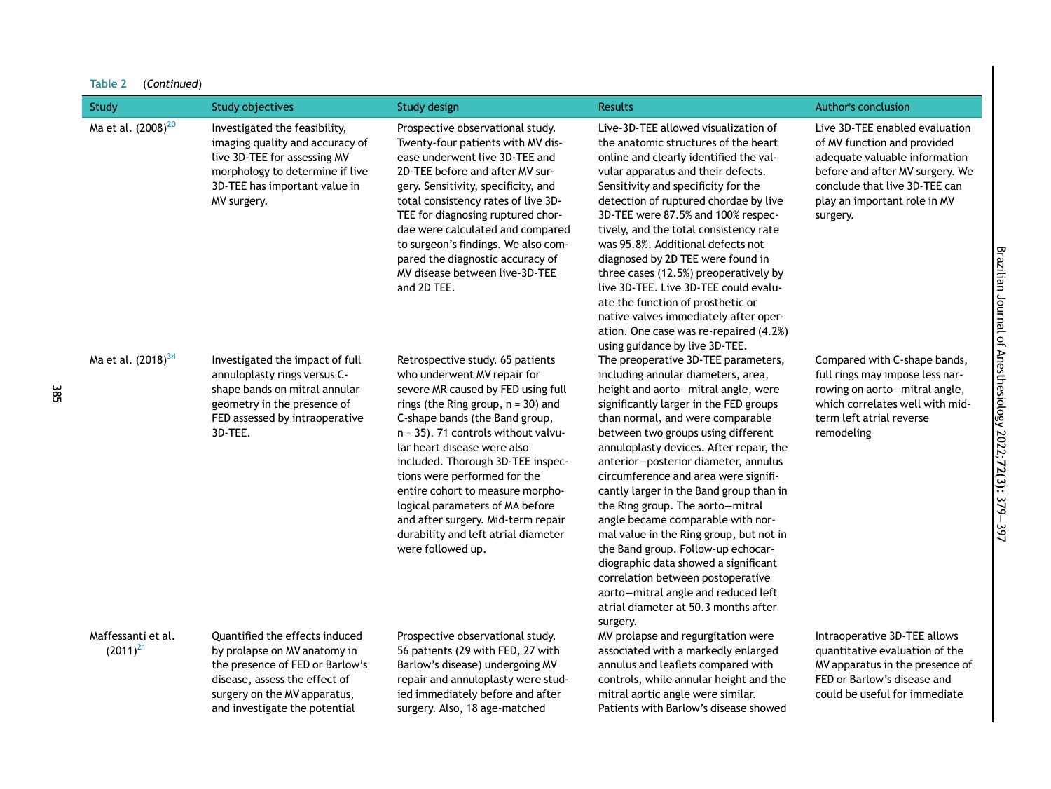| Table 2 |             |  |
|---------|-------------|--|
|         | (Continued) |  |

| Study                               | Study objectives                                                                                                                                                                                    | Study design                                                                                                                                                                                                                                                                                                                                                                                                                                                                                         | <b>Results</b>                                                                                                                                                                                                                                                                                                                                                                                                                                                                                                                                                                                                                                                                                                                               | <b>Author's conclusion</b>                                                                                                                                                                                     |
|-------------------------------------|-----------------------------------------------------------------------------------------------------------------------------------------------------------------------------------------------------|------------------------------------------------------------------------------------------------------------------------------------------------------------------------------------------------------------------------------------------------------------------------------------------------------------------------------------------------------------------------------------------------------------------------------------------------------------------------------------------------------|----------------------------------------------------------------------------------------------------------------------------------------------------------------------------------------------------------------------------------------------------------------------------------------------------------------------------------------------------------------------------------------------------------------------------------------------------------------------------------------------------------------------------------------------------------------------------------------------------------------------------------------------------------------------------------------------------------------------------------------------|----------------------------------------------------------------------------------------------------------------------------------------------------------------------------------------------------------------|
| Ma et al. (2008) <sup>20</sup>      | Investigated the feasibility,<br>imaging quality and accuracy of<br>live 3D-TEE for assessing MV<br>morphology to determine if live<br>3D-TEE has important value in<br>MV surgery.                 | Prospective observational study.<br>Twenty-four patients with MV dis-<br>ease underwent live 3D-TEE and<br>2D-TEE before and after MV sur-<br>gery. Sensitivity, specificity, and<br>total consistency rates of live 3D-<br>TEE for diagnosing ruptured chor-<br>dae were calculated and compared<br>to surgeon's findings. We also com-<br>pared the diagnostic accuracy of<br>MV disease between live-3D-TEE<br>and 2D TEE.                                                                        | Live-3D-TEE allowed visualization of<br>the anatomic structures of the heart<br>online and clearly identified the val-<br>vular apparatus and their defects.<br>Sensitivity and specificity for the<br>detection of ruptured chordae by live<br>3D-TEE were 87.5% and 100% respec-<br>tively, and the total consistency rate<br>was 95.8%. Additional defects not<br>diagnosed by 2D TEE were found in<br>three cases (12.5%) preoperatively by<br>live 3D-TEE. Live 3D-TEE could evalu-<br>ate the function of prosthetic or<br>native valves immediately after oper-<br>ation. One case was re-repaired (4.2%)<br>using guidance by live 3D-TEE.                                                                                           | Live 3D-TEE enabled evaluation<br>of MV function and provided<br>adequate valuable information<br>before and after MV surgery. We<br>conclude that live 3D-TEE can<br>play an important role in MV<br>surgery. |
| Ma et al. (2018) <sup>34</sup>      | Investigated the impact of full<br>annuloplasty rings versus C-<br>shape bands on mitral annular<br>geometry in the presence of<br>FED assessed by intraoperative<br>3D-TEE.                        | Retrospective study. 65 patients<br>who underwent MV repair for<br>severe MR caused by FED using full<br>rings (the Ring group, $n = 30$ ) and<br>C-shape bands (the Band group,<br>n = 35). 71 controls without valvu-<br>lar heart disease were also<br>included. Thorough 3D-TEE inspec-<br>tions were performed for the<br>entire cohort to measure morpho-<br>logical parameters of MA before<br>and after surgery. Mid-term repair<br>durability and left atrial diameter<br>were followed up. | The preoperative 3D-TEE parameters,<br>including annular diameters, area,<br>height and aorto-mitral angle, were<br>significantly larger in the FED groups<br>than normal, and were comparable<br>between two groups using different<br>annuloplasty devices. After repair, the<br>anterior-posterior diameter, annulus<br>circumference and area were signifi-<br>cantly larger in the Band group than in<br>the Ring group. The aorto-mitral<br>angle became comparable with nor-<br>mal value in the Ring group, but not in<br>the Band group. Follow-up echocar-<br>diographic data showed a significant<br>correlation between postoperative<br>aorto-mitral angle and reduced left<br>atrial diameter at 50.3 months after<br>surgery. | Compared with C-shape bands,<br>full rings may impose less nar-<br>rowing on aorto-mitral angle,<br>which correlates well with mid-<br>term left atrial reverse<br>remodeling                                  |
| Maffessanti et al.<br>$(2011)^{21}$ | Quantified the effects induced<br>by prolapse on MV anatomy in<br>the presence of FED or Barlow's<br>disease, assess the effect of<br>surgery on the MV apparatus,<br>and investigate the potential | Prospective observational study.<br>56 patients (29 with FED, 27 with<br>Barlow's disease) undergoing MV<br>repair and annuloplasty were stud-<br>ied immediately before and after<br>surgery. Also, 18 age-matched                                                                                                                                                                                                                                                                                  | MV prolapse and regurgitation were<br>associated with a markedly enlarged<br>annulus and leaflets compared with<br>controls, while annular height and the<br>mitral aortic angle were similar.<br>Patients with Barlow's disease showed                                                                                                                                                                                                                                                                                                                                                                                                                                                                                                      | Intraoperative 3D-TEE allows<br>quantitative evaluation of the<br>MV apparatus in the presence of<br>FED or Barlow's disease and<br>could be useful for immediate                                              |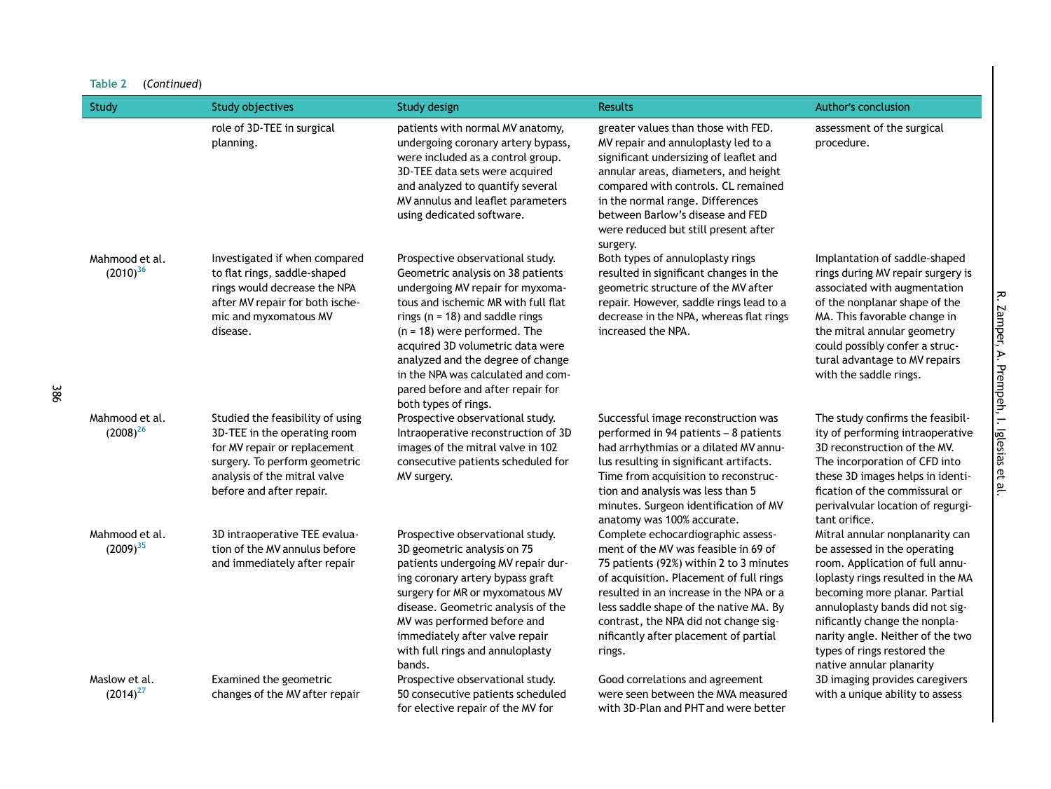| Study                           | <b>Study objectives</b>                                                                                                                                                                       | Study design                                                                                                                                                                                                                                                                                                                                                                                          | <b>Results</b>                                                                                                                                                                                                                                                                                                                                    | Author's conclusion                                                                                                                                                                                                                                                                                                                         |
|---------------------------------|-----------------------------------------------------------------------------------------------------------------------------------------------------------------------------------------------|-------------------------------------------------------------------------------------------------------------------------------------------------------------------------------------------------------------------------------------------------------------------------------------------------------------------------------------------------------------------------------------------------------|---------------------------------------------------------------------------------------------------------------------------------------------------------------------------------------------------------------------------------------------------------------------------------------------------------------------------------------------------|---------------------------------------------------------------------------------------------------------------------------------------------------------------------------------------------------------------------------------------------------------------------------------------------------------------------------------------------|
|                                 | role of 3D-TEE in surgical<br>planning.                                                                                                                                                       | patients with normal MV anatomy,<br>undergoing coronary artery bypass,<br>were included as a control group.<br>3D-TEE data sets were acquired<br>and analyzed to quantify several<br>MV annulus and leaflet parameters<br>using dedicated software.                                                                                                                                                   | greater values than those with FED.<br>MV repair and annuloplasty led to a<br>significant undersizing of leaflet and<br>annular areas, diameters, and height<br>compared with controls. CL remained<br>in the normal range. Differences<br>between Barlow's disease and FED<br>were reduced but still present after<br>surgery.                   | assessment of the surgical<br>procedure.                                                                                                                                                                                                                                                                                                    |
| Mahmood et al.<br>$(2010)^{36}$ | Investigated if when compared<br>to flat rings, saddle-shaped<br>rings would decrease the NPA<br>after MV repair for both ische-<br>mic and myxomatous MV<br>disease.                         | Prospective observational study.<br>Geometric analysis on 38 patients<br>undergoing MV repair for myxoma-<br>tous and ischemic MR with full flat<br>rings ( $n = 18$ ) and saddle rings<br>$(n = 18)$ were performed. The<br>acquired 3D volumetric data were<br>analyzed and the degree of change<br>in the NPA was calculated and com-<br>pared before and after repair for<br>both types of rings. | Both types of annuloplasty rings<br>resulted in significant changes in the<br>geometric structure of the MV after<br>repair. However, saddle rings lead to a<br>decrease in the NPA, whereas flat rings<br>increased the NPA.                                                                                                                     | Implantation of saddle-shaped<br>rings during MV repair surgery is<br>associated with augmentation<br>of the nonplanar shape of the<br>MA. This favorable change in<br>the mitral annular geometry<br>could possibly confer a struc-<br>tural advantage to MV repairs<br>with the saddle rings.                                             |
| Mahmood et al.<br>$(2008)^{26}$ | Studied the feasibility of using<br>3D-TEE in the operating room<br>for MV repair or replacement<br>surgery. To perform geometric<br>analysis of the mitral valve<br>before and after repair. | Prospective observational study.<br>Intraoperative reconstruction of 3D<br>images of the mitral valve in 102<br>consecutive patients scheduled for<br>MV surgery.                                                                                                                                                                                                                                     | Successful image reconstruction was<br>performed in 94 patients - 8 patients<br>had arrhythmias or a dilated MV annu-<br>lus resulting in significant artifacts.<br>Time from acquisition to reconstruc-<br>tion and analysis was less than 5<br>minutes. Surgeon identification of MV<br>anatomy was 100% accurate.                              | The study confirms the feasibil-<br>ity of performing intraoperative<br>3D reconstruction of the MV.<br>The incorporation of CFD into<br>these 3D images helps in identi-<br>fication of the commissural or<br>perivalvular location of regurgi-<br>tant orifice.                                                                           |
| Mahmood et al.<br>$(2009)^{35}$ | 3D intraoperative TEE evalua-<br>tion of the MV annulus before<br>and immediately after repair                                                                                                | Prospective observational study.<br>3D geometric analysis on 75<br>patients undergoing MV repair dur-<br>ing coronary artery bypass graft<br>surgery for MR or myxomatous MV<br>disease. Geometric analysis of the<br>MV was performed before and<br>immediately after valve repair<br>with full rings and annuloplasty<br>bands.                                                                     | Complete echocardiographic assess-<br>ment of the MV was feasible in 69 of<br>75 patients (92%) within 2 to 3 minutes<br>of acquisition. Placement of full rings<br>resulted in an increase in the NPA or a<br>less saddle shape of the native MA. By<br>contrast, the NPA did not change sig-<br>nificantly after placement of partial<br>rings. | Mitral annular nonplanarity can<br>be assessed in the operating<br>room. Application of full annu-<br>loplasty rings resulted in the MA<br>becoming more planar. Partial<br>annuloplasty bands did not sig-<br>nificantly change the nonpla-<br>narity angle. Neither of the two<br>types of rings restored the<br>native annular planarity |
| Maslow et al.<br>$(2014)^{27}$  | Examined the geometric<br>changes of the MV after repair                                                                                                                                      | Prospective observational study.<br>50 consecutive patients scheduled<br>for elective repair of the MV for                                                                                                                                                                                                                                                                                            | Good correlations and agreement<br>were seen between the MVA measured<br>with 3D-Plan and PHT and were better                                                                                                                                                                                                                                     | 3D imaging provides caregivers<br>with a unique ability to assess                                                                                                                                                                                                                                                                           |

R. Zamper, A. Prempeh, I. Iglesias et al.

R. Zamper, A. Prempeh, I. Iglesias et al.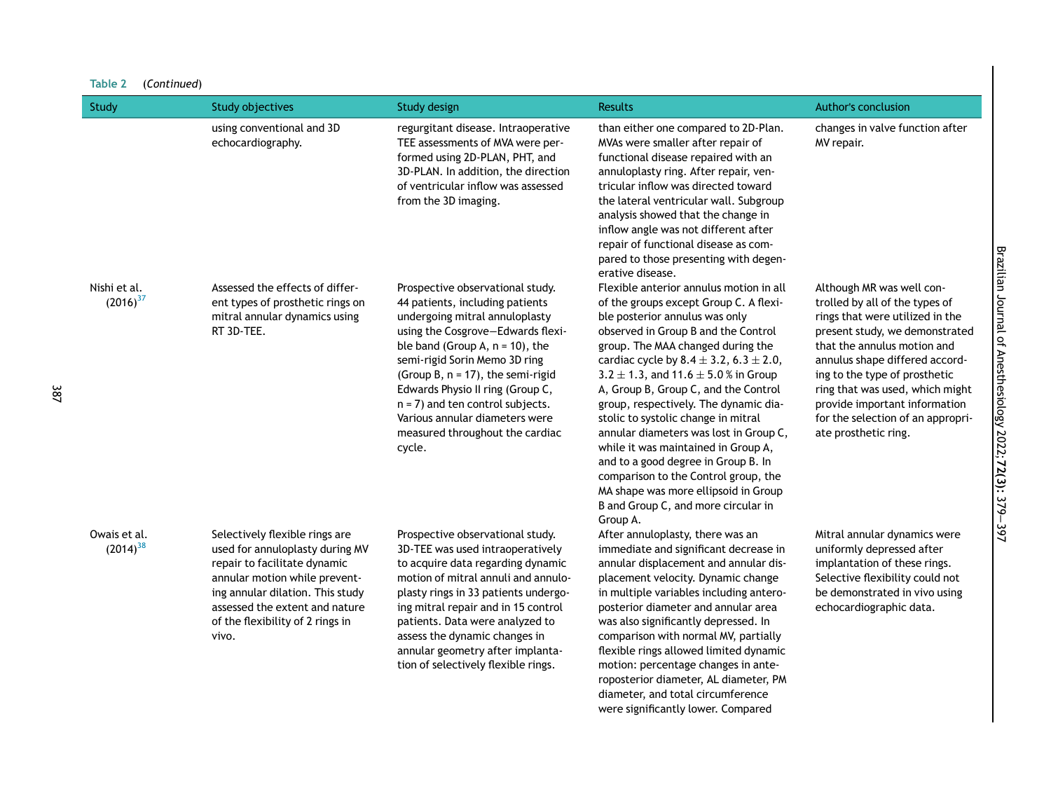| Study                         | <b>Study objectives</b>                                                                                                                                                                                                                               | <b>Study design</b>                                                                                                                                                                                                                                                                                                                                                                                                 | <b>Results</b>                                                                                                                                                                                                                                                                                                                                                                                                                                                                                                                                                                                                                                                                          | Author's conclusion                                                                                                                                                                                                                                                                                                                                                 |
|-------------------------------|-------------------------------------------------------------------------------------------------------------------------------------------------------------------------------------------------------------------------------------------------------|---------------------------------------------------------------------------------------------------------------------------------------------------------------------------------------------------------------------------------------------------------------------------------------------------------------------------------------------------------------------------------------------------------------------|-----------------------------------------------------------------------------------------------------------------------------------------------------------------------------------------------------------------------------------------------------------------------------------------------------------------------------------------------------------------------------------------------------------------------------------------------------------------------------------------------------------------------------------------------------------------------------------------------------------------------------------------------------------------------------------------|---------------------------------------------------------------------------------------------------------------------------------------------------------------------------------------------------------------------------------------------------------------------------------------------------------------------------------------------------------------------|
|                               | using conventional and 3D<br>echocardiography.                                                                                                                                                                                                        | regurgitant disease. Intraoperative<br>TEE assessments of MVA were per-<br>formed using 2D-PLAN, PHT, and<br>3D-PLAN. In addition, the direction<br>of ventricular inflow was assessed<br>from the 3D imaging.                                                                                                                                                                                                      | than either one compared to 2D-Plan.<br>MVAs were smaller after repair of<br>functional disease repaired with an<br>annuloplasty ring. After repair, ven-<br>tricular inflow was directed toward<br>the lateral ventricular wall. Subgroup<br>analysis showed that the change in<br>inflow angle was not different after<br>repair of functional disease as com-<br>pared to those presenting with degen-<br>erative disease.                                                                                                                                                                                                                                                           | changes in valve function after<br>MV repair.                                                                                                                                                                                                                                                                                                                       |
| Nishi et al.<br>$(2016)^{37}$ | Assessed the effects of differ-<br>ent types of prosthetic rings on<br>mitral annular dynamics using<br>RT 3D-TEE.                                                                                                                                    | Prospective observational study.<br>44 patients, including patients<br>undergoing mitral annuloplasty<br>using the Cosgrove-Edwards flexi-<br>ble band (Group A, $n = 10$ ), the<br>semi-rigid Sorin Memo 3D ring<br>(Group B, $n = 17$ ), the semi-rigid<br>Edwards Physio II ring (Group C,<br>$n = 7$ ) and ten control subjects.<br>Various annular diameters were<br>measured throughout the cardiac<br>cycle. | Flexible anterior annulus motion in all<br>of the groups except Group C. A flexi-<br>ble posterior annulus was only<br>observed in Group B and the Control<br>group. The MAA changed during the<br>cardiac cycle by $8.4 \pm 3.2$ , $6.3 \pm 2.0$ ,<br>$3.2 \pm 1.3$ , and $11.6 \pm 5.0$ % in Group<br>A, Group B, Group C, and the Control<br>group, respectively. The dynamic dia-<br>stolic to systolic change in mitral<br>annular diameters was lost in Group C,<br>while it was maintained in Group A,<br>and to a good degree in Group B. In<br>comparison to the Control group, the<br>MA shape was more ellipsoid in Group<br>B and Group C, and more circular in<br>Group A. | Although MR was well con-<br>trolled by all of the types of<br>rings that were utilized in the<br>present study, we demonstrated<br>that the annulus motion and<br>annulus shape differed accord-<br>ing to the type of prosthetic<br>ring that was used, which might<br>provide important information<br>for the selection of an appropri-<br>ate prosthetic ring. |
| Owais et al.<br>$(2014)^{38}$ | Selectively flexible rings are<br>used for annuloplasty during MV<br>repair to facilitate dynamic<br>annular motion while prevent-<br>ing annular dilation. This study<br>assessed the extent and nature<br>of the flexibility of 2 rings in<br>vivo. | Prospective observational study.<br>3D-TEE was used intraoperatively<br>to acquire data regarding dynamic<br>motion of mitral annuli and annulo-<br>plasty rings in 33 patients undergo-<br>ing mitral repair and in 15 control<br>patients. Data were analyzed to<br>assess the dynamic changes in<br>annular geometry after implanta-<br>tion of selectively flexible rings.                                      | After annuloplasty, there was an<br>immediate and significant decrease in<br>annular displacement and annular dis-<br>placement velocity. Dynamic change<br>in multiple variables including antero-<br>posterior diameter and annular area<br>was also significantly depressed. In<br>comparison with normal MV, partially<br>flexible rings allowed limited dynamic<br>motion: percentage changes in ante-<br>roposterior diameter, AL diameter, PM<br>diameter, and total circumference<br>were significantly lower. Compared                                                                                                                                                         | Mitral annular dynamics were<br>uniformly depressed after<br>implantation of these rings.<br>Selective flexibility could not<br>be demonstrated in vivo using<br>echocardiographic data.                                                                                                                                                                            |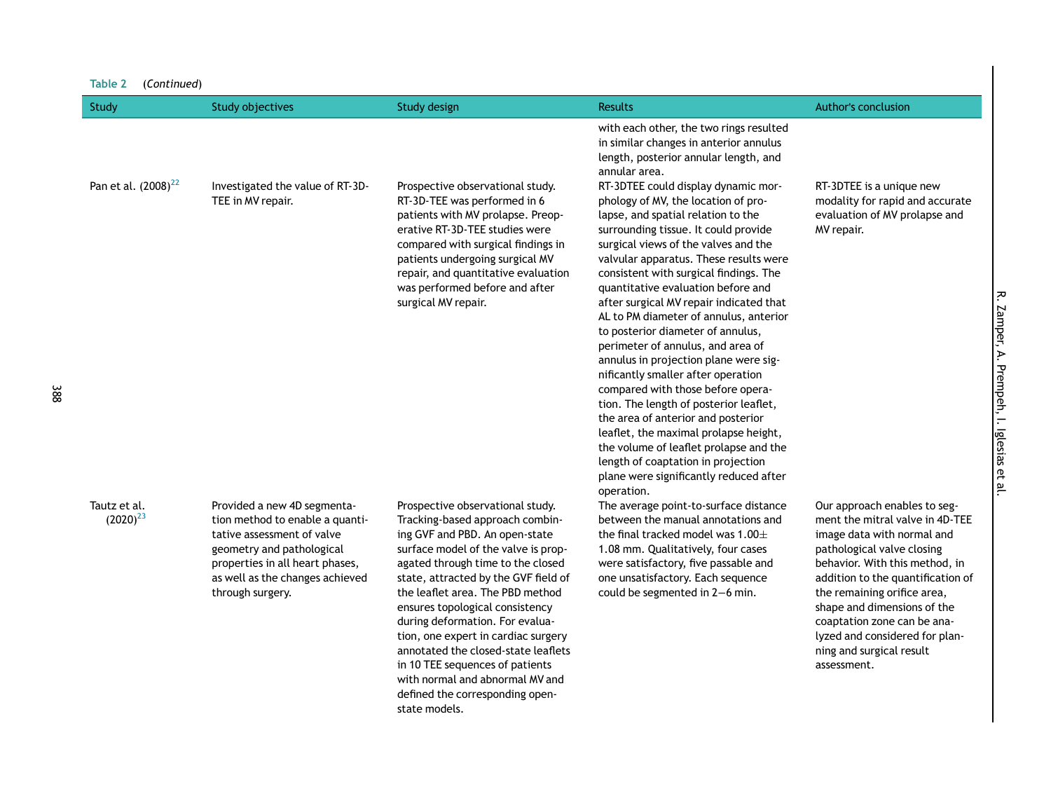| Table 2<br>(Continued)          |                                                                                                                                                                                                                     |                                                                                                                                                                                                                                                                                                                                                                                                                                                                                                                                             |                                                                                                                                                                                                                                                                                                                                                                                                                                                                                                                                                                                                                                                                                                                                                                                                                                                                                       |                                                                                                                                                                                                                                                                                                                                                                              |
|---------------------------------|---------------------------------------------------------------------------------------------------------------------------------------------------------------------------------------------------------------------|---------------------------------------------------------------------------------------------------------------------------------------------------------------------------------------------------------------------------------------------------------------------------------------------------------------------------------------------------------------------------------------------------------------------------------------------------------------------------------------------------------------------------------------------|---------------------------------------------------------------------------------------------------------------------------------------------------------------------------------------------------------------------------------------------------------------------------------------------------------------------------------------------------------------------------------------------------------------------------------------------------------------------------------------------------------------------------------------------------------------------------------------------------------------------------------------------------------------------------------------------------------------------------------------------------------------------------------------------------------------------------------------------------------------------------------------|------------------------------------------------------------------------------------------------------------------------------------------------------------------------------------------------------------------------------------------------------------------------------------------------------------------------------------------------------------------------------|
| Study                           | <b>Study objectives</b>                                                                                                                                                                                             | <b>Study design</b>                                                                                                                                                                                                                                                                                                                                                                                                                                                                                                                         | <b>Results</b>                                                                                                                                                                                                                                                                                                                                                                                                                                                                                                                                                                                                                                                                                                                                                                                                                                                                        | <b>Author's conclusion</b>                                                                                                                                                                                                                                                                                                                                                   |
| Pan et al. (2008) <sup>22</sup> | Investigated the value of RT-3D-<br>TEE in MV repair.                                                                                                                                                               | Prospective observational study.<br>RT-3D-TEE was performed in 6<br>patients with MV prolapse. Preop-<br>erative RT-3D-TEE studies were<br>compared with surgical findings in<br>patients undergoing surgical MV<br>repair, and quantitative evaluation<br>was performed before and after<br>surgical MV repair.                                                                                                                                                                                                                            | with each other, the two rings resulted<br>in similar changes in anterior annulus<br>length, posterior annular length, and<br>annular area.<br>RT-3DTEE could display dynamic mor-<br>phology of MV, the location of pro-<br>lapse, and spatial relation to the<br>surrounding tissue. It could provide<br>surgical views of the valves and the<br>valvular apparatus. These results were<br>consistent with surgical findings. The<br>quantitative evaluation before and<br>after surgical MV repair indicated that<br>AL to PM diameter of annulus, anterior<br>to posterior diameter of annulus,<br>perimeter of annulus, and area of<br>annulus in projection plane were sig-<br>nificantly smaller after operation<br>compared with those before opera-<br>tion. The length of posterior leaflet,<br>the area of anterior and posterior<br>leaflet, the maximal prolapse height, | RT-3DTEE is a unique new<br>modality for rapid and accurate<br>evaluation of MV prolapse and<br>MV repair.                                                                                                                                                                                                                                                                   |
| Tautz et al.<br>$(2020)^{23}$   | Provided a new 4D segmenta-<br>tion method to enable a quanti-<br>tative assessment of valve<br>geometry and pathological<br>properties in all heart phases,<br>as well as the changes achieved<br>through surgery. | Prospective observational study.<br>Tracking-based approach combin-<br>ing GVF and PBD. An open-state<br>surface model of the valve is prop-<br>agated through time to the closed<br>state, attracted by the GVF field of<br>the leaflet area. The PBD method<br>ensures topological consistency<br>during deformation. For evalua-<br>tion, one expert in cardiac surgery<br>annotated the closed-state leaflets<br>in 10 TEE sequences of patients<br>with normal and abnormal MV and<br>defined the corresponding open-<br>state models. | the volume of leaflet prolapse and the<br>length of coaptation in projection<br>plane were significantly reduced after<br>operation.<br>The average point-to-surface distance<br>between the manual annotations and<br>the final tracked model was $1.00 \pm$<br>1.08 mm. Qualitatively, four cases<br>were satisfactory, five passable and<br>one unsatisfactory. Each sequence<br>could be segmented in 2-6 min.                                                                                                                                                                                                                                                                                                                                                                                                                                                                    | Our approach enables to seg-<br>ment the mitral valve in 4D-TEE<br>image data with normal and<br>pathological valve closing<br>behavior. With this method, in<br>addition to the quantification of<br>the remaining orifice area,<br>shape and dimensions of the<br>coaptation zone can be ana-<br>lyzed and considered for plan-<br>ning and surgical result<br>assessment. |

R. Zamper, A. Prempeh, I. Iglesias et al. R. Zamper, A. Prempeh, I. Iglesias et al.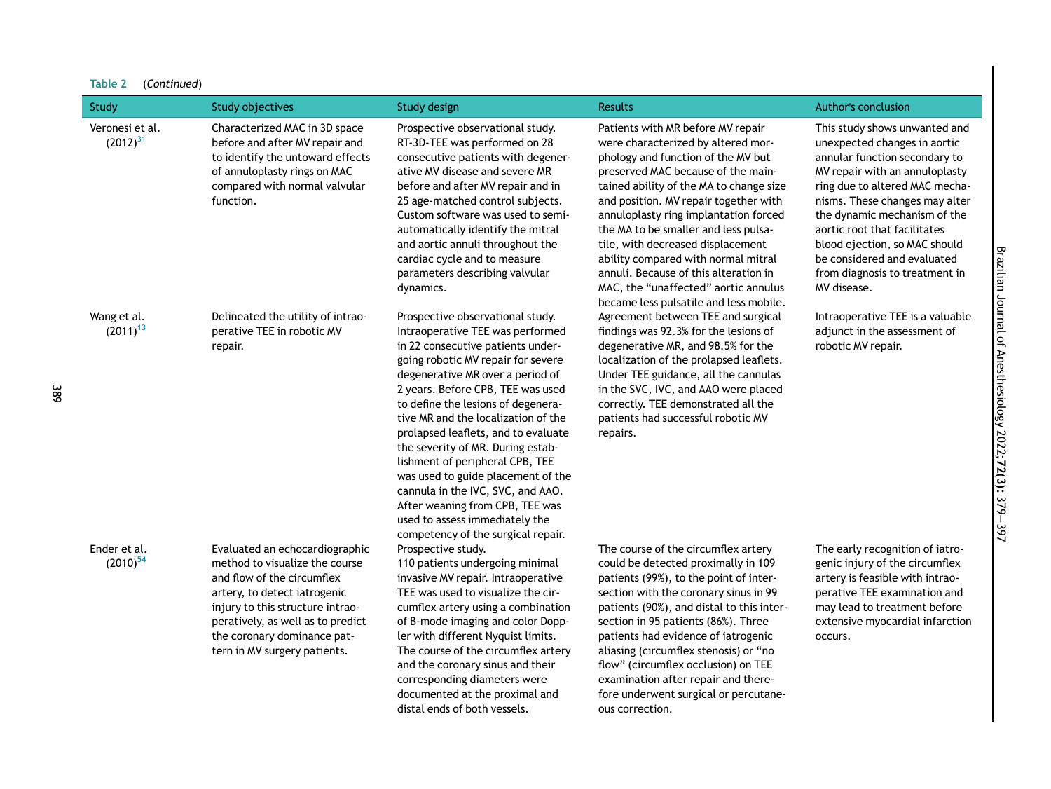| <b>Study</b>                     | <b>Study objectives</b>                                                                                                                                                                                                                                                | Study design                                                                                                                                                                                                                                                                                                                                                                                                                                                                                                                                                                                               | <b>Results</b>                                                                                                                                                                                                                                                                                                                                                                                                                                                                                                                  | <b>Author's conclusion</b>                                                                                                                                                                                                                                                                                                                                                            |
|----------------------------------|------------------------------------------------------------------------------------------------------------------------------------------------------------------------------------------------------------------------------------------------------------------------|------------------------------------------------------------------------------------------------------------------------------------------------------------------------------------------------------------------------------------------------------------------------------------------------------------------------------------------------------------------------------------------------------------------------------------------------------------------------------------------------------------------------------------------------------------------------------------------------------------|---------------------------------------------------------------------------------------------------------------------------------------------------------------------------------------------------------------------------------------------------------------------------------------------------------------------------------------------------------------------------------------------------------------------------------------------------------------------------------------------------------------------------------|---------------------------------------------------------------------------------------------------------------------------------------------------------------------------------------------------------------------------------------------------------------------------------------------------------------------------------------------------------------------------------------|
| Veronesi et al.<br>$(2012)^{31}$ | Characterized MAC in 3D space<br>before and after MV repair and<br>to identify the untoward effects<br>of annuloplasty rings on MAC<br>compared with normal valvular<br>function.                                                                                      | Prospective observational study.<br>RT-3D-TEE was performed on 28<br>consecutive patients with degener-<br>ative MV disease and severe MR<br>before and after MV repair and in<br>25 age-matched control subjects.<br>Custom software was used to semi-<br>automatically identify the mitral<br>and aortic annuli throughout the<br>cardiac cycle and to measure<br>parameters describing valvular<br>dynamics.                                                                                                                                                                                            | Patients with MR before MV repair<br>were characterized by altered mor-<br>phology and function of the MV but<br>preserved MAC because of the main-<br>tained ability of the MA to change size<br>and position. MV repair together with<br>annuloplasty ring implantation forced<br>the MA to be smaller and less pulsa-<br>tile, with decreased displacement<br>ability compared with normal mitral<br>annuli. Because of this alteration in<br>MAC, the "unaffected" aortic annulus<br>became less pulsatile and less mobile. | This study shows unwanted and<br>unexpected changes in aortic<br>annular function secondary to<br>MV repair with an annuloplasty<br>ring due to altered MAC mecha-<br>nisms. These changes may alter<br>the dynamic mechanism of the<br>aortic root that facilitates<br>blood ejection, so MAC should<br>be considered and evaluated<br>from diagnosis to treatment in<br>MV disease. |
| Wang et al.<br>$(2011)^{13}$     | Delineated the utility of intrao-<br>perative TEE in robotic MV<br>repair.                                                                                                                                                                                             | Prospective observational study.<br>Intraoperative TEE was performed<br>in 22 consecutive patients under-<br>going robotic MV repair for severe<br>degenerative MR over a period of<br>2 years. Before CPB, TEE was used<br>to define the lesions of degenera-<br>tive MR and the localization of the<br>prolapsed leaflets, and to evaluate<br>the severity of MR. During estab-<br>lishment of peripheral CPB, TEE<br>was used to guide placement of the<br>cannula in the IVC, SVC, and AAO.<br>After weaning from CPB, TEE was<br>used to assess immediately the<br>competency of the surgical repair. | Agreement between TEE and surgical<br>findings was 92.3% for the lesions of<br>degenerative MR, and 98.5% for the<br>localization of the prolapsed leaflets.<br>Under TEE guidance, all the cannulas<br>in the SVC, IVC, and AAO were placed<br>correctly. TEE demonstrated all the<br>patients had successful robotic MV<br>repairs.                                                                                                                                                                                           | Intraoperative TEE is a valuable<br>adjunct in the assessment of<br>robotic MV repair.                                                                                                                                                                                                                                                                                                |
| Ender et al.<br>$(2010)^{54}$    | Evaluated an echocardiographic<br>method to visualize the course<br>and flow of the circumflex<br>artery, to detect iatrogenic<br>injury to this structure intrao-<br>peratively, as well as to predict<br>the coronary dominance pat-<br>tern in MV surgery patients. | Prospective study.<br>110 patients undergoing minimal<br>invasive MV repair. Intraoperative<br>TEE was used to visualize the cir-<br>cumflex artery using a combination<br>of B-mode imaging and color Dopp-<br>ler with different Nyquist limits.<br>The course of the circumflex artery<br>and the coronary sinus and their<br>corresponding diameters were<br>documented at the proximal and<br>distal ends of both vessels.                                                                                                                                                                            | The course of the circumflex artery<br>could be detected proximally in 109<br>patients (99%), to the point of inter-<br>section with the coronary sinus in 99<br>patients (90%), and distal to this inter-<br>section in 95 patients (86%). Three<br>patients had evidence of iatrogenic<br>aliasing (circumflex stenosis) or "no<br>flow" (circumflex occlusion) on TEE<br>examination after repair and there-<br>fore underwent surgical or percutane-<br>ous correction.                                                     | The early recognition of iatro-<br>genic injury of the circumflex<br>artery is feasible with intrao-<br>perative TEE examination and<br>may lead to treatment before<br>extensive myocardial infarction<br>occurs.                                                                                                                                                                    |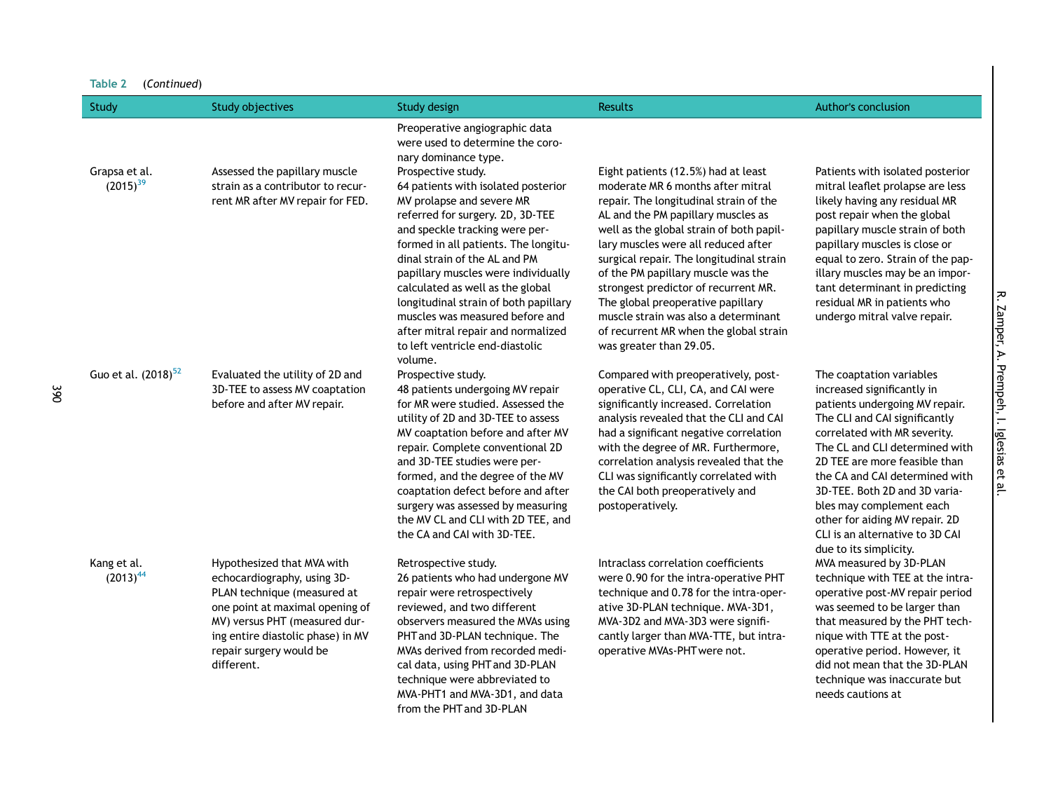| Table 2<br>(Continued)          |                                                                                                                                                                                                                                            |                                                                                                                                                                                                                                                                                                                                                                                                                                                                                                                                                                                |                                                                                                                                                                                                                                                                                                                                                                                                                                                                                                                         |                                                                                                                                                                                                                                                                                                                                                                                                                            |
|---------------------------------|--------------------------------------------------------------------------------------------------------------------------------------------------------------------------------------------------------------------------------------------|--------------------------------------------------------------------------------------------------------------------------------------------------------------------------------------------------------------------------------------------------------------------------------------------------------------------------------------------------------------------------------------------------------------------------------------------------------------------------------------------------------------------------------------------------------------------------------|-------------------------------------------------------------------------------------------------------------------------------------------------------------------------------------------------------------------------------------------------------------------------------------------------------------------------------------------------------------------------------------------------------------------------------------------------------------------------------------------------------------------------|----------------------------------------------------------------------------------------------------------------------------------------------------------------------------------------------------------------------------------------------------------------------------------------------------------------------------------------------------------------------------------------------------------------------------|
| Study                           | <b>Study objectives</b>                                                                                                                                                                                                                    | <b>Study design</b>                                                                                                                                                                                                                                                                                                                                                                                                                                                                                                                                                            | <b>Results</b>                                                                                                                                                                                                                                                                                                                                                                                                                                                                                                          | Author's conclusion                                                                                                                                                                                                                                                                                                                                                                                                        |
| Grapsa et al.<br>$(2015)^{39}$  | Assessed the papillary muscle<br>strain as a contributor to recur-<br>rent MR after MV repair for FED.                                                                                                                                     | Preoperative angiographic data<br>were used to determine the coro-<br>nary dominance type.<br>Prospective study.<br>64 patients with isolated posterior<br>MV prolapse and severe MR<br>referred for surgery. 2D, 3D-TEE<br>and speckle tracking were per-<br>formed in all patients. The longitu-<br>dinal strain of the AL and PM<br>papillary muscles were individually<br>calculated as well as the global<br>longitudinal strain of both papillary<br>muscles was measured before and<br>after mitral repair and normalized<br>to left ventricle end-diastolic<br>volume. | Eight patients (12.5%) had at least<br>moderate MR 6 months after mitral<br>repair. The longitudinal strain of the<br>AL and the PM papillary muscles as<br>well as the global strain of both papil-<br>lary muscles were all reduced after<br>surgical repair. The longitudinal strain<br>of the PM papillary muscle was the<br>strongest predictor of recurrent MR.<br>The global preoperative papillary<br>muscle strain was also a determinant<br>of recurrent MR when the global strain<br>was greater than 29.05. | Patients with isolated posterior<br>mitral leaflet prolapse are less<br>likely having any residual MR<br>post repair when the global<br>papillary muscle strain of both<br>papillary muscles is close or<br>equal to zero. Strain of the pap-<br>illary muscles may be an impor-<br>tant determinant in predicting<br>residual MR in patients who<br>undergo mitral valve repair.                                          |
| Guo et al. (2018) <sup>52</sup> | Evaluated the utility of 2D and<br>3D-TEE to assess MV coaptation<br>before and after MV repair.                                                                                                                                           | Prospective study.<br>48 patients undergoing MV repair<br>for MR were studied. Assessed the<br>utility of 2D and 3D-TEE to assess<br>MV coaptation before and after MV<br>repair. Complete conventional 2D<br>and 3D-TEE studies were per-<br>formed, and the degree of the MV<br>coaptation defect before and after<br>surgery was assessed by measuring<br>the MV CL and CLI with 2D TEE, and<br>the CA and CAI with 3D-TEE.                                                                                                                                                 | Compared with preoperatively, post-<br>operative CL, CLI, CA, and CAI were<br>significantly increased. Correlation<br>analysis revealed that the CLI and CAI<br>had a significant negative correlation<br>with the degree of MR. Furthermore,<br>correlation analysis revealed that the<br>CLI was significantly correlated with<br>the CAI both preoperatively and<br>postoperatively.                                                                                                                                 | The coaptation variables<br>increased significantly in<br>patients undergoing MV repair.<br>The CLI and CAI significantly<br>correlated with MR severity.<br>The CL and CLI determined with<br>2D TEE are more feasible than<br>the CA and CAI determined with<br>3D-TEE. Both 2D and 3D varia-<br>bles may complement each<br>other for aiding MV repair. 2D<br>CLI is an alternative to 3D CAI<br>due to its simplicity. |
| Kang et al.<br>$(2013)^{44}$    | Hypothesized that MVA with<br>echocardiography, using 3D-<br>PLAN technique (measured at<br>one point at maximal opening of<br>MV) versus PHT (measured dur-<br>ing entire diastolic phase) in MV<br>repair surgery would be<br>different. | Retrospective study.<br>26 patients who had undergone MV<br>repair were retrospectively<br>reviewed, and two different<br>observers measured the MVAs using<br>PHT and 3D-PLAN technique. The<br>MVAs derived from recorded medi-<br>cal data, using PHT and 3D-PLAN<br>technique were abbreviated to<br>MVA-PHT1 and MVA-3D1, and data<br>from the PHT and 3D-PLAN                                                                                                                                                                                                            | Intraclass correlation coefficients<br>were 0.90 for the intra-operative PHT<br>technique and 0.78 for the intra-oper-<br>ative 3D-PLAN technique. MVA-3D1,<br>MVA-3D2 and MVA-3D3 were signifi-<br>cantly larger than MVA-TTE, but intra-<br>operative MVAs-PHT were not.                                                                                                                                                                                                                                              | MVA measured by 3D-PLAN<br>technique with TEE at the intra-<br>operative post-MV repair period<br>was seemed to be larger than<br>that measured by the PHT tech-<br>nique with TTE at the post-<br>operative period. However, it<br>did not mean that the 3D-PLAN<br>technique was inaccurate but<br>needs cautions at                                                                                                     |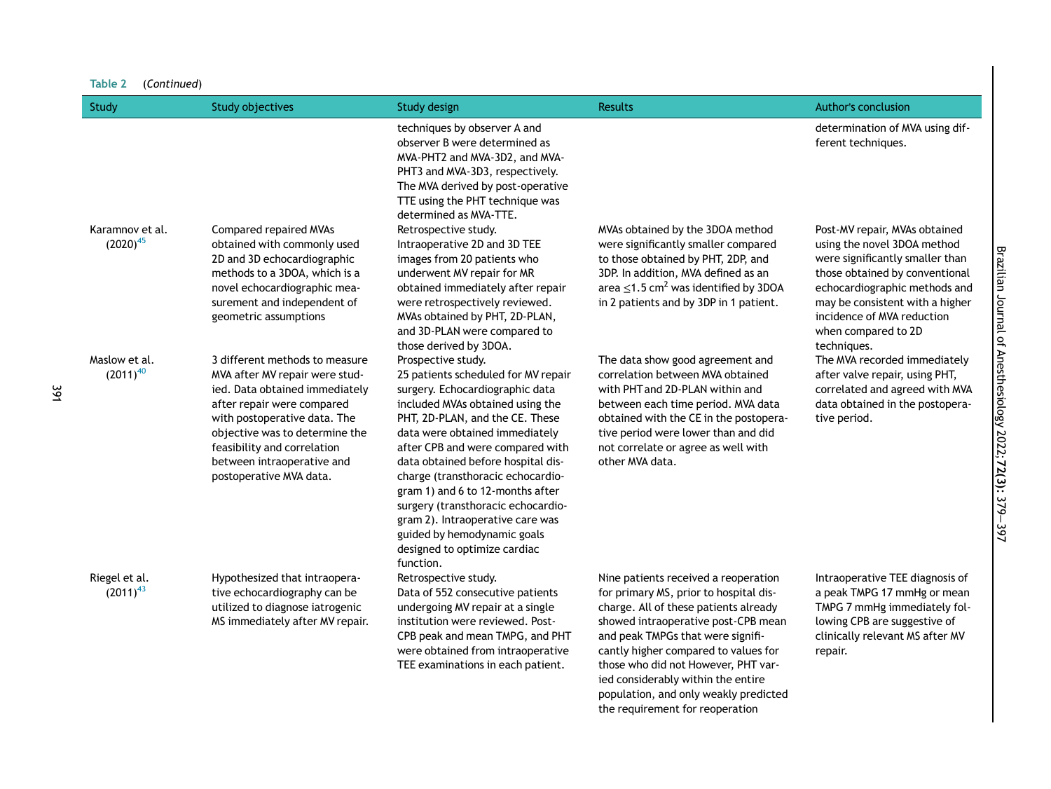|  | Table 2 | (Continued) |
|--|---------|-------------|
|--|---------|-------------|

| Study                            | <b>Study objectives</b>                                                                                                                                                                                                                                                                    | Study design                                                                                                                                                                                                                                                                                                                                                                                                                                                                                                   | <b>Results</b>                                                                                                                                                                                                                                                                                                                                                    | <b>Author's conclusion</b>                                                                                                                                                                                                                                                |
|----------------------------------|--------------------------------------------------------------------------------------------------------------------------------------------------------------------------------------------------------------------------------------------------------------------------------------------|----------------------------------------------------------------------------------------------------------------------------------------------------------------------------------------------------------------------------------------------------------------------------------------------------------------------------------------------------------------------------------------------------------------------------------------------------------------------------------------------------------------|-------------------------------------------------------------------------------------------------------------------------------------------------------------------------------------------------------------------------------------------------------------------------------------------------------------------------------------------------------------------|---------------------------------------------------------------------------------------------------------------------------------------------------------------------------------------------------------------------------------------------------------------------------|
|                                  |                                                                                                                                                                                                                                                                                            | techniques by observer A and<br>observer B were determined as<br>MVA-PHT2 and MVA-3D2, and MVA-<br>PHT3 and MVA-3D3, respectively.<br>The MVA derived by post-operative<br>TTE using the PHT technique was<br>determined as MVA-TTE.                                                                                                                                                                                                                                                                           |                                                                                                                                                                                                                                                                                                                                                                   | determination of MVA using dif-<br>ferent techniques.                                                                                                                                                                                                                     |
| Karamnov et al.<br>$(2020)^{45}$ | <b>Compared repaired MVAs</b><br>obtained with commonly used<br>2D and 3D echocardiographic<br>methods to a 3DOA, which is a<br>novel echocardiographic mea-<br>surement and independent of<br>geometric assumptions                                                                       | Retrospective study.<br>Intraoperative 2D and 3D TEE<br>images from 20 patients who<br>underwent MV repair for MR<br>obtained immediately after repair<br>were retrospectively reviewed.<br>MVAs obtained by PHT, 2D-PLAN,<br>and 3D-PLAN were compared to<br>those derived by 3DOA.                                                                                                                                                                                                                           | MVAs obtained by the 3DOA method<br>were significantly smaller compared<br>to those obtained by PHT, 2DP, and<br>3DP. In addition, MVA defined as an<br>area $\leq$ 1.5 cm <sup>2</sup> was identified by 3DOA<br>in 2 patients and by 3DP in 1 patient.                                                                                                          | Post-MV repair, MVAs obtained<br>using the novel 3DOA method<br>were significantly smaller than<br>those obtained by conventional<br>echocardiographic methods and<br>may be consistent with a higher<br>incidence of MVA reduction<br>when compared to 2D<br>techniques. |
| Maslow et al.<br>$(2011)^{40}$   | 3 different methods to measure<br>MVA after MV repair were stud-<br>ied. Data obtained immediately<br>after repair were compared<br>with postoperative data. The<br>objective was to determine the<br>feasibility and correlation<br>between intraoperative and<br>postoperative MVA data. | Prospective study.<br>25 patients scheduled for MV repair<br>surgery. Echocardiographic data<br>included MVAs obtained using the<br>PHT, 2D-PLAN, and the CE. These<br>data were obtained immediately<br>after CPB and were compared with<br>data obtained before hospital dis-<br>charge (transthoracic echocardio-<br>gram 1) and 6 to 12-months after<br>surgery (transthoracic echocardio-<br>gram 2). Intraoperative care was<br>guided by hemodynamic goals<br>designed to optimize cardiac<br>function. | The data show good agreement and<br>correlation between MVA obtained<br>with PHT and 2D-PLAN within and<br>between each time period. MVA data<br>obtained with the CE in the postopera-<br>tive period were lower than and did<br>not correlate or agree as well with<br>other MVA data.                                                                          | The MVA recorded immediately<br>after valve repair, using PHT,<br>correlated and agreed with MVA<br>data obtained in the postopera-<br>tive period.                                                                                                                       |
| Riegel et al.<br>$(2011)^{43}$   | Hypothesized that intraopera-<br>tive echocardiography can be<br>utilized to diagnose iatrogenic<br>MS immediately after MV repair.                                                                                                                                                        | Retrospective study.<br>Data of 552 consecutive patients<br>undergoing MV repair at a single<br>institution were reviewed. Post-<br>CPB peak and mean TMPG, and PHT<br>were obtained from intraoperative<br>TEE examinations in each patient.                                                                                                                                                                                                                                                                  | Nine patients received a reoperation<br>for primary MS, prior to hospital dis-<br>charge. All of these patients already<br>showed intraoperative post-CPB mean<br>and peak TMPGs that were signifi-<br>cantly higher compared to values for<br>those who did not However, PHT var-<br>ied considerably within the entire<br>population, and only weakly predicted | Intraoperative TEE diagnosis of<br>a peak TMPG 17 mmHg or mean<br>TMPG 7 mmHg immediately fol-<br>lowing CPB are suggestive of<br>clinically relevant MS after MV<br>repair.                                                                                              |

the requirement for reoperation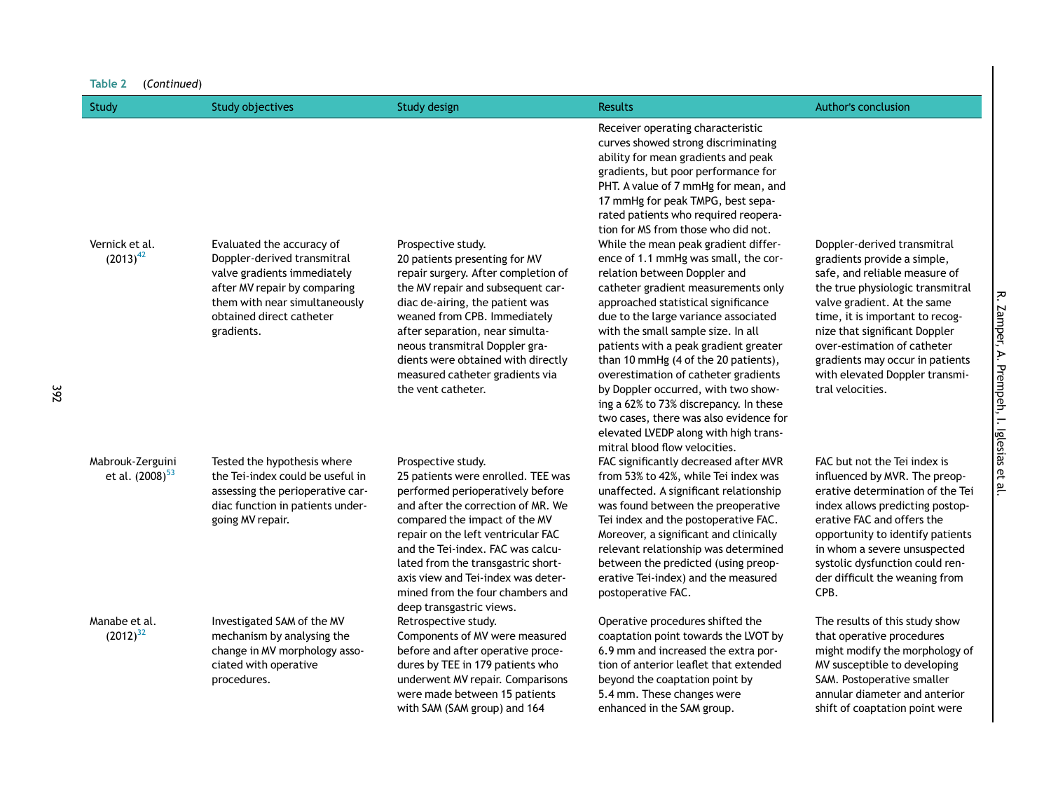| Study                                           | <b>Study objectives</b>                                                                                                                                                                            | <b>Study design</b>                                                                                                                                                                                                                                                                                                                                                                        | <b>Results</b>                                                                                                                                                                                                                                                                                                                                                                                                                                                                                                                                                                                                                                                                                                                                                                                                                                                                                                               | Author's conclusion                                                                                                                                                                                                                                                                                                                                        |
|-------------------------------------------------|----------------------------------------------------------------------------------------------------------------------------------------------------------------------------------------------------|--------------------------------------------------------------------------------------------------------------------------------------------------------------------------------------------------------------------------------------------------------------------------------------------------------------------------------------------------------------------------------------------|------------------------------------------------------------------------------------------------------------------------------------------------------------------------------------------------------------------------------------------------------------------------------------------------------------------------------------------------------------------------------------------------------------------------------------------------------------------------------------------------------------------------------------------------------------------------------------------------------------------------------------------------------------------------------------------------------------------------------------------------------------------------------------------------------------------------------------------------------------------------------------------------------------------------------|------------------------------------------------------------------------------------------------------------------------------------------------------------------------------------------------------------------------------------------------------------------------------------------------------------------------------------------------------------|
| Vernick et al.<br>$(2013)^{42}$                 | Evaluated the accuracy of<br>Doppler-derived transmitral<br>valve gradients immediately<br>after MV repair by comparing<br>them with near simultaneously<br>obtained direct catheter<br>gradients. | Prospective study.<br>20 patients presenting for MV<br>repair surgery. After completion of<br>the MV repair and subsequent car-<br>diac de-airing, the patient was<br>weaned from CPB. Immediately<br>after separation, near simulta-<br>neous transmitral Doppler gra-<br>dients were obtained with directly<br>measured catheter gradients via<br>the vent catheter.                     | Receiver operating characteristic<br>curves showed strong discriminating<br>ability for mean gradients and peak<br>gradients, but poor performance for<br>PHT. A value of 7 mmHg for mean, and<br>17 mmHg for peak TMPG, best sepa-<br>rated patients who required reopera-<br>tion for MS from those who did not.<br>While the mean peak gradient differ-<br>ence of 1.1 mmHg was small, the cor-<br>relation between Doppler and<br>catheter gradient measurements only<br>approached statistical significance<br>due to the large variance associated<br>with the small sample size. In all<br>patients with a peak gradient greater<br>than 10 mmHg (4 of the 20 patients),<br>overestimation of catheter gradients<br>by Doppler occurred, with two show-<br>ing a 62% to 73% discrepancy. In these<br>two cases, there was also evidence for<br>elevated LVEDP along with high trans-<br>mitral blood flow velocities. | Doppler-derived transmitral<br>gradients provide a simple,<br>safe, and reliable measure of<br>the true physiologic transmitral<br>valve gradient. At the same<br>time, it is important to recog-<br>nize that significant Doppler<br>over-estimation of catheter<br>gradients may occur in patients<br>with elevated Doppler transmi-<br>tral velocities. |
| Mabrouk-Zerguini<br>et al. (2008) <sup>53</sup> | Tested the hypothesis where<br>the Tei-index could be useful in<br>assessing the perioperative car-<br>diac function in patients under-<br>going MV repair.                                        | Prospective study.<br>25 patients were enrolled. TEE was<br>performed perioperatively before<br>and after the correction of MR. We<br>compared the impact of the MV<br>repair on the left ventricular FAC<br>and the Tei-index. FAC was calcu-<br>lated from the transgastric short-<br>axis view and Tei-index was deter-<br>mined from the four chambers and<br>deep transgastric views. | FAC significantly decreased after MVR<br>from 53% to 42%, while Tei index was<br>unaffected. A significant relationship<br>was found between the preoperative<br>Tei index and the postoperative FAC.<br>Moreover, a significant and clinically<br>relevant relationship was determined<br>between the predicted (using preop-<br>erative Tei-index) and the measured<br>postoperative FAC.                                                                                                                                                                                                                                                                                                                                                                                                                                                                                                                                  | FAC but not the Tei index is<br>influenced by MVR. The preop-<br>erative determination of the Tei<br>index allows predicting postop-<br>erative FAC and offers the<br>opportunity to identify patients<br>in whom a severe unsuspected<br>systolic dysfunction could ren-<br>der difficult the weaning from<br>CPB.                                        |
| Manabe et al.<br>$(2012)^{32}$                  | Investigated SAM of the MV<br>mechanism by analysing the<br>change in MV morphology asso-<br>ciated with operative<br>procedures.                                                                  | Retrospective study.<br>Components of MV were measured<br>before and after operative proce-<br>dures by TEE in 179 patients who<br>underwent MV repair. Comparisons<br>were made between 15 patients<br>with SAM (SAM group) and 164                                                                                                                                                       | Operative procedures shifted the<br>coaptation point towards the LVOT by<br>6.9 mm and increased the extra por-<br>tion of anterior leaflet that extended<br>beyond the coaptation point by<br>5.4 mm. These changes were<br>enhanced in the SAM group.                                                                                                                                                                                                                                                                                                                                                                                                                                                                                                                                                                                                                                                                      | The results of this study show<br>that operative procedures<br>might modify the morphology of<br>MV susceptible to developing<br>SAM. Postoperative smaller<br>annular diameter and anterior<br>shift of coaptation point were                                                                                                                             |

392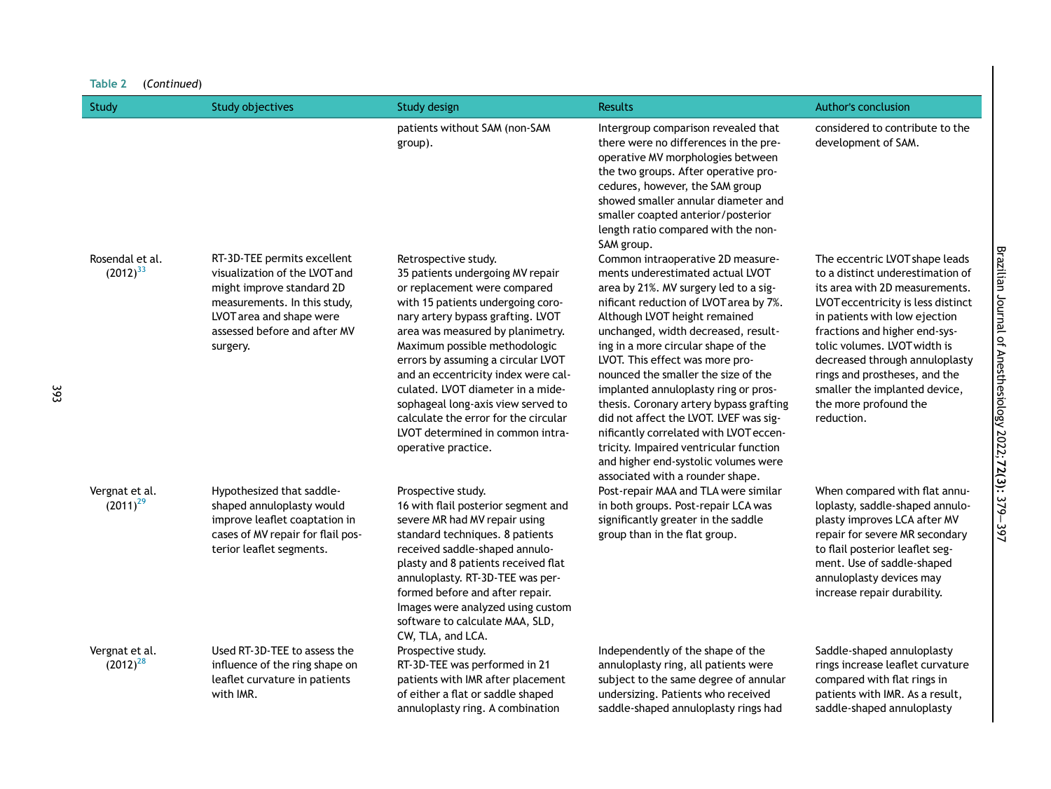| Table 2<br>(Continued)           |                                                                                                                                                                                                   |                                                                                                                                                                                                                                                                                                                                                                                                                                                                                                    |                                                                                                                                                                                                                                                                                                                                                                                                                                                                                                                                                                                                                                                |                                                                                                                                                                                                                                                                                                                                                                                         |  |  |
|----------------------------------|---------------------------------------------------------------------------------------------------------------------------------------------------------------------------------------------------|----------------------------------------------------------------------------------------------------------------------------------------------------------------------------------------------------------------------------------------------------------------------------------------------------------------------------------------------------------------------------------------------------------------------------------------------------------------------------------------------------|------------------------------------------------------------------------------------------------------------------------------------------------------------------------------------------------------------------------------------------------------------------------------------------------------------------------------------------------------------------------------------------------------------------------------------------------------------------------------------------------------------------------------------------------------------------------------------------------------------------------------------------------|-----------------------------------------------------------------------------------------------------------------------------------------------------------------------------------------------------------------------------------------------------------------------------------------------------------------------------------------------------------------------------------------|--|--|
| Study                            | <b>Study objectives</b>                                                                                                                                                                           | Study design                                                                                                                                                                                                                                                                                                                                                                                                                                                                                       | <b>Results</b>                                                                                                                                                                                                                                                                                                                                                                                                                                                                                                                                                                                                                                 | Author's conclusion                                                                                                                                                                                                                                                                                                                                                                     |  |  |
|                                  |                                                                                                                                                                                                   | patients without SAM (non-SAM<br>group).                                                                                                                                                                                                                                                                                                                                                                                                                                                           | Intergroup comparison revealed that<br>there were no differences in the pre-<br>operative MV morphologies between<br>the two groups. After operative pro-<br>cedures, however, the SAM group<br>showed smaller annular diameter and<br>smaller coapted anterior/posterior<br>length ratio compared with the non-<br>SAM group.                                                                                                                                                                                                                                                                                                                 | considered to contribute to the<br>development of SAM.                                                                                                                                                                                                                                                                                                                                  |  |  |
| Rosendal et al.<br>$(2012)^{33}$ | RT-3D-TEE permits excellent<br>visualization of the LVOT and<br>might improve standard 2D<br>measurements. In this study,<br>LVOT area and shape were<br>assessed before and after MV<br>surgery. | Retrospective study.<br>35 patients undergoing MV repair<br>or replacement were compared<br>with 15 patients undergoing coro-<br>nary artery bypass grafting. LVOT<br>area was measured by planimetry.<br>Maximum possible methodologic<br>errors by assuming a circular LVOT<br>and an eccentricity index were cal-<br>culated. LVOT diameter in a mide-<br>sophageal long-axis view served to<br>calculate the error for the circular<br>LVOT determined in common intra-<br>operative practice. | Common intraoperative 2D measure-<br>ments underestimated actual LVOT<br>area by 21%. MV surgery led to a sig-<br>nificant reduction of LVOT area by 7%.<br>Although LVOT height remained<br>unchanged, width decreased, result-<br>ing in a more circular shape of the<br>LVOT. This effect was more pro-<br>nounced the smaller the size of the<br>implanted annuloplasty ring or pros-<br>thesis. Coronary artery bypass grafting<br>did not affect the LVOT. LVEF was sig-<br>nificantly correlated with LVOT eccen-<br>tricity. Impaired ventricular function<br>and higher end-systolic volumes were<br>associated with a rounder shape. | The eccentric LVOT shape leads<br>to a distinct underestimation of<br>its area with 2D measurements.<br>LVOT eccentricity is less distinct<br>in patients with low ejection<br>fractions and higher end-sys-<br>tolic volumes. LVOT width is<br>decreased through annuloplasty<br>rings and prostheses, and the<br>smaller the implanted device,<br>the more profound the<br>reduction. |  |  |
| Vergnat et al.<br>$(2011)^{29}$  | Hypothesized that saddle-<br>shaped annuloplasty would<br>improve leaflet coaptation in<br>cases of MV repair for flail pos-<br>terior leaflet segments.                                          | Prospective study.<br>16 with flail posterior segment and<br>severe MR had MV repair using<br>standard techniques. 8 patients<br>received saddle-shaped annulo-<br>plasty and 8 patients received flat<br>annuloplasty. RT-3D-TEE was per-<br>formed before and after repair.<br>Images were analyzed using custom<br>software to calculate MAA, SLD,<br>CW, TLA, and LCA.                                                                                                                         | Post-repair MAA and TLA were similar<br>in both groups. Post-repair LCA was<br>significantly greater in the saddle<br>group than in the flat group.                                                                                                                                                                                                                                                                                                                                                                                                                                                                                            | When compared with flat annu-<br>loplasty, saddle-shaped annulo-<br>plasty improves LCA after MV<br>repair for severe MR secondary<br>to flail posterior leaflet seg-<br>ment. Use of saddle-shaped<br>annuloplasty devices may<br>increase repair durability.                                                                                                                          |  |  |
| Vergnat et al.<br>$(2012)^{28}$  | Used RT-3D-TEE to assess the<br>influence of the ring shape on<br>leaflet curvature in patients<br>with IMR.                                                                                      | Prospective study.<br>RT-3D-TEE was performed in 21<br>patients with IMR after placement<br>of either a flat or saddle shaped<br>annuloplasty ring. A combination                                                                                                                                                                                                                                                                                                                                  | Independently of the shape of the<br>annuloplasty ring, all patients were<br>subject to the same degree of annular<br>undersizing. Patients who received<br>saddle-shaped annuloplasty rings had                                                                                                                                                                                                                                                                                                                                                                                                                                               | Saddle-shaped annuloplasty<br>rings increase leaflet curvature<br>compared with flat rings in<br>patients with IMR. As a result,<br>saddle-shaped annuloplasty                                                                                                                                                                                                                          |  |  |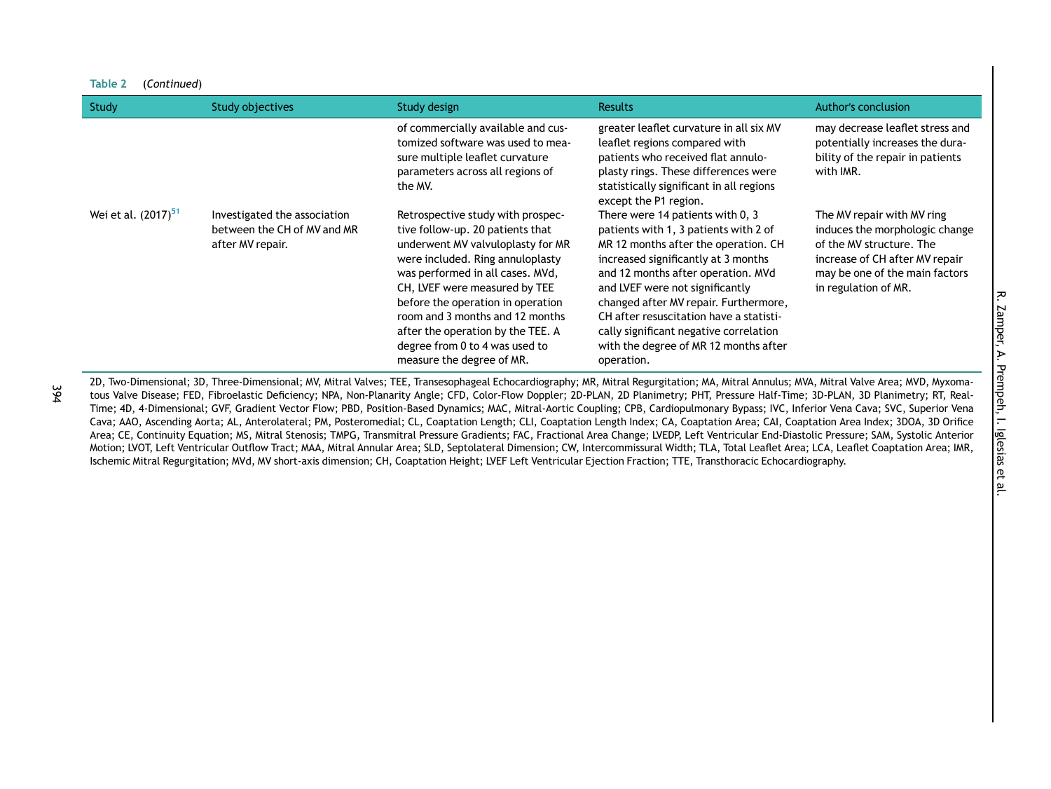| Study                           | <b>Study objectives</b>                                                         | Study design                                                                                                                                                                                                                                                                                                                                                                                    | <b>Results</b>                                                                                                                                                                                                                                                                                                                                                                                                         | Author's conclusion                                                                                                                                                                  |
|---------------------------------|---------------------------------------------------------------------------------|-------------------------------------------------------------------------------------------------------------------------------------------------------------------------------------------------------------------------------------------------------------------------------------------------------------------------------------------------------------------------------------------------|------------------------------------------------------------------------------------------------------------------------------------------------------------------------------------------------------------------------------------------------------------------------------------------------------------------------------------------------------------------------------------------------------------------------|--------------------------------------------------------------------------------------------------------------------------------------------------------------------------------------|
|                                 |                                                                                 | of commercially available and cus-<br>tomized software was used to mea-<br>sure multiple leaflet curvature<br>parameters across all regions of<br>the MV.                                                                                                                                                                                                                                       | greater leaflet curvature in all six MV<br>leaflet regions compared with<br>patients who received flat annulo-<br>plasty rings. These differences were<br>statistically significant in all regions<br>except the P1 region.                                                                                                                                                                                            | may decrease leaflet stress and<br>potentially increases the dura-<br>bility of the repair in patients<br>with IMR.                                                                  |
| Wei et al. (2017) <sup>51</sup> | Investigated the association<br>between the CH of MV and MR<br>after MV repair. | Retrospective study with prospec-<br>tive follow-up. 20 patients that<br>underwent MV valvuloplasty for MR<br>were included. Ring annuloplasty<br>was performed in all cases. MVd,<br>CH, LVEF were measured by TEE<br>before the operation in operation<br>room and 3 months and 12 months<br>after the operation by the TEE. A<br>degree from 0 to 4 was used to<br>measure the degree of MR. | There were 14 patients with 0, 3<br>patients with 1, 3 patients with 2 of<br>MR 12 months after the operation. CH<br>increased significantly at 3 months<br>and 12 months after operation. MVd<br>and LVEF were not significantly<br>changed after MV repair. Furthermore,<br>CH after resuscitation have a statisti-<br>cally significant negative correlation<br>with the degree of MR 12 months after<br>operation. | The MV repair with MV ring<br>induces the morphologic change<br>of the MV structure. The<br>increase of CH after MV repair<br>may be one of the main factors<br>in regulation of MR. |

2D, Two-Dimensional; 3D, Three-Dimensional; MV, Mitral Valves; TEE, Transesophageal Echocardiography; MR, Mitral Regurgitation; MA, Mitral Annulus; MVA, Mitral Valve Area; MVD, Myxomatous Valve Disease; FED, Fibroelastic Deficiency; NPA, Non-Planarity Angle; CFD, Color-Flow Doppler; 2D-PLAN, 2D Planimetry; PHT, Pressure Half-Time; 3D-PLAN, 3D Planimetry; RT, Real-Time; 4D, 4-Dimensional; GVF, Gradient Vector Flow; PBD, Position-Based Dynamics; MAC, Mitral-Aortic Coupling; CPB, Cardiopulmonary Bypass; IVC, Inferior Vena Cava; SVC, Superior Vena Cava; AAO, Ascending Aorta; AL, Anterolateral; PM, Posteromedial; CL, Coaptation Length; CLI, Coaptation Length Index; CA, Coaptation Area; CAI, Coaptation Area Index; 3DOA, 3D Orifice Area; CE, Continuity Equation; MS, Mitral Stenosis; TMPG, Transmitral Pressure Gradients; FAC, Fractional Area Change; LVEDP, Left Ventricular End-Diastolic Pressure; SAM, Systolic Anterior Motion; LVOT, Left Ventricular Outflow Tract; MAA, Mitral Annular Area; SLD, Septolateral Dimension; CW, Intercommissural Width; TLA, Total Leaflet Area; LCA, Leaflet Coaptation Area; IMR, Ischemic Mitral Regurgitation; MVd, MV short-axis dimension; CH, Coaptation Height; LVEF Left Ventricular Ejection Fraction; TTE, Transthoracic Echocardiography.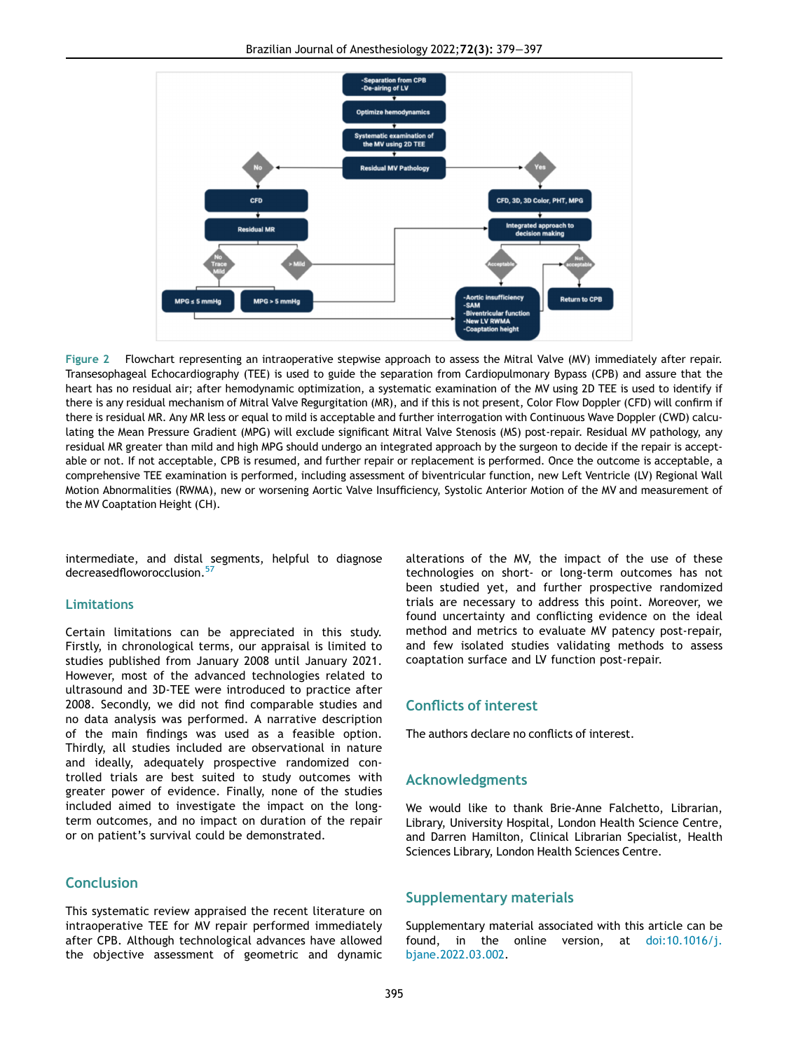<span id="page-16-0"></span>

Figure 2 Flowchart representing an intraoperative stepwise approach to assess the Mitral Valve (MV) immediately after repair. Transesophageal Echocardiography (TEE) is used to guide the separation from Cardiopulmonary Bypass (CPB) and assure that the heart has no residual air; after hemodynamic optimization, a systematic examination of the MV using 2D TEE is used to identify if there is any residual mechanism of Mitral Valve Regurgitation (MR), and if this is not present, Color Flow Doppler (CFD) will confirm if there is residual MR. Any MR less or equal to mild is acceptable and further interrogation with Continuous Wave Doppler (CWD) calculating the Mean Pressure Gradient (MPG) will exclude significant Mitral Valve Stenosis (MS) post-repair. Residual MV pathology, any residual MR greater than mild and high MPG should undergo an integrated approach by the surgeon to decide if the repair is acceptable or not. If not acceptable, CPB is resumed, and further repair or replacement is performed. Once the outcome is acceptable, a comprehensive TEE examination is performed, including assessment of biventricular function, new Left Ventricle (LV) Regional Wall Motion Abnormalities (RWMA), new or worsening Aortic Valve Insufficiency, Systolic Anterior Motion of the MV and measurement of the MV Coaptation Height (CH).

intermediate, and distal segments, helpful to diagnose decreasedfloworocclusion.<sup>[57](#page-18-24)</sup>

#### Limitations

Certain limitations can be appreciated in this study. Firstly, in chronological terms, our appraisal is limited to studies published from January 2008 until January 2021. However, most of the advanced technologies related to ultrasound and 3D-TEE were introduced to practice after 2008. Secondly, we did not find comparable studies and no data analysis was performed. A narrative description of the main findings was used as a feasible option. Thirdly, all studies included are observational in nature and ideally, adequately prospective randomized controlled trials are best suited to study outcomes with greater power of evidence. Finally, none of the studies included aimed to investigate the impact on the longterm outcomes, and no impact on duration of the repair or on patient's survival could be demonstrated.

# **Conclusion**

This systematic review appraised the recent literature on intraoperative TEE for MV repair performed immediately after CPB. Although technological advances have allowed the objective assessment of geometric and dynamic alterations of the MV, the impact of the use of these technologies on short- or long-term outcomes has not been studied yet, and further prospective randomized trials are necessary to address this point. Moreover, we found uncertainty and conflicting evidence on the ideal method and metrics to evaluate MV patency post-repair, and few isolated studies validating methods to assess coaptation surface and LV function post-repair.

# Conflicts of interest

The authors declare no conflicts of interest.

#### Acknowledgments

We would like to thank Brie-Anne Falchetto, Librarian, Library, University Hospital, London Health Science Centre, and Darren Hamilton, Clinical Librarian Specialist, Health Sciences Library, London Health Sciences Centre.

#### Supplementary materials

Supplementary material associated with this article can be found, in the online version, at [doi:10.1016/j.](https://doi.org/10.1016/j.bjane.2022.03.002) [bjane.2022.03.002](https://doi.org/10.1016/j.bjane.2022.03.002).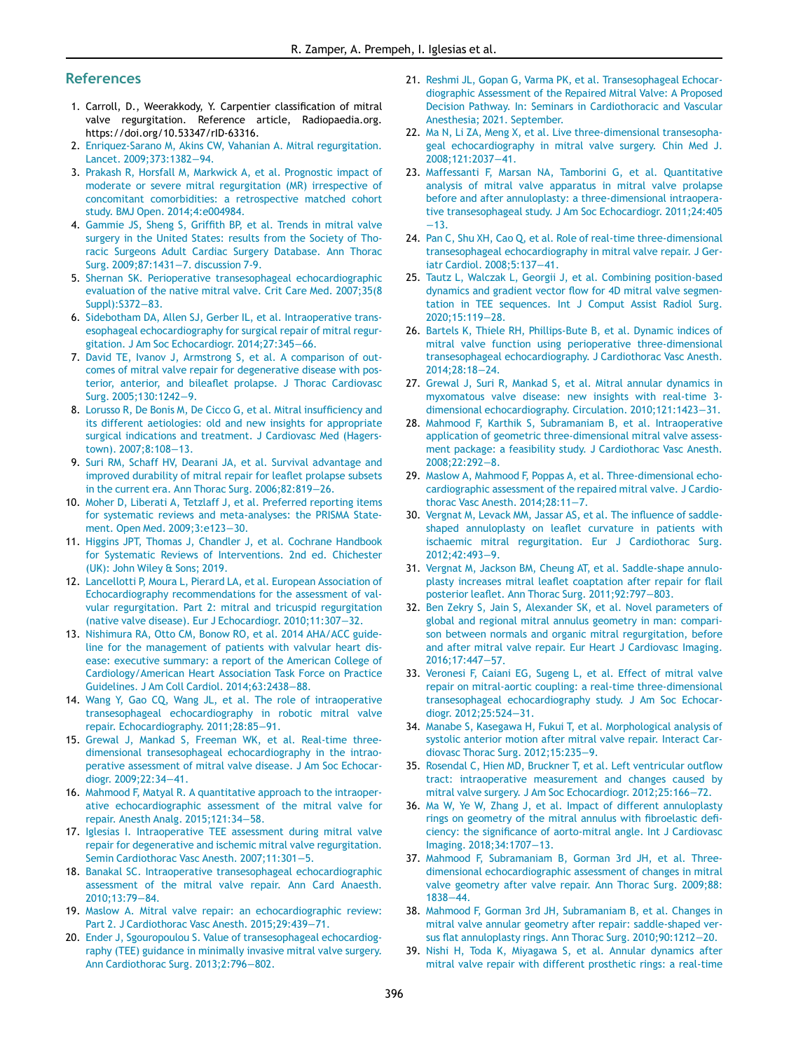# <span id="page-17-38"></span><span id="page-17-33"></span><span id="page-17-32"></span><span id="page-17-25"></span>References

- <span id="page-17-0"></span>1. Carroll, D., Weerakkody, Y. Carpentier classification of mitral valve regurgitation. Reference article, Radiopaedia.org. https://doi.org/10.53347/rID-63316.
- <span id="page-17-14"></span><span id="page-17-1"></span>2. [Enriquez-Sarano M, Akins CW, Vahanian A. Mitral regurgitation.](http://refhub.elsevier.com/S0104-0014(22)00031-8/sbref0002) [Lancet. 2009;373:1382](http://refhub.elsevier.com/S0104-0014(22)00031-8/sbref0002)−94.
- <span id="page-17-2"></span>3. [Prakash R, Horsfall M, Markwick A, et al. Prognostic impact of](http://refhub.elsevier.com/S0104-0014(22)00031-8/sbref0003) [moderate or severe mitral regurgitation \(MR\) irrespective of](http://refhub.elsevier.com/S0104-0014(22)00031-8/sbref0003) [concomitant comorbidities: a retrospective matched cohort](http://refhub.elsevier.com/S0104-0014(22)00031-8/sbref0003) [study. BMJ Open. 2014;4:e004984.](http://refhub.elsevier.com/S0104-0014(22)00031-8/sbref0003)
- <span id="page-17-3"></span>4. Gammie JS, Sheng S, Griffi[th BP, et al. Trends in mitral valve](http://refhub.elsevier.com/S0104-0014(22)00031-8/sbref0004) [surgery in the United States: results from the Society of Tho](http://refhub.elsevier.com/S0104-0014(22)00031-8/sbref0004)[racic Surgeons Adult Cardiac Surgery Database. Ann Thorac](http://refhub.elsevier.com/S0104-0014(22)00031-8/sbref0004) [Surg. 2009;87:1431](http://refhub.elsevier.com/S0104-0014(22)00031-8/sbref0004)−7. discussion 7-9.
- <span id="page-17-4"></span>5. [Shernan SK. Perioperative transesophageal echocardiographic](http://refhub.elsevier.com/S0104-0014(22)00031-8/sbref0005) [evaluation of the native mitral valve. Crit Care Med. 2007;35\(8](http://refhub.elsevier.com/S0104-0014(22)00031-8/sbref0005) [Suppl\):S372](http://refhub.elsevier.com/S0104-0014(22)00031-8/sbref0005)−83.
- <span id="page-17-15"></span><span id="page-17-5"></span>6. [Sidebotham DA, Allen SJ, Gerber IL, et al. Intraoperative trans](http://refhub.elsevier.com/S0104-0014(22)00031-8/sbref0006)[esophageal echocardiography for surgical repair of mitral regur](http://refhub.elsevier.com/S0104-0014(22)00031-8/sbref0006)[gitation. J Am Soc Echocardiogr. 2014;27:345](http://refhub.elsevier.com/S0104-0014(22)00031-8/sbref0006)−66.
- <span id="page-17-6"></span>7. [David TE, Ivanov J, Armstrong S, et al. A comparison of out](http://refhub.elsevier.com/S0104-0014(22)00031-8/sbref0007)[comes of mitral valve repair for degenerative disease with pos](http://refhub.elsevier.com/S0104-0014(22)00031-8/sbref0007)terior, anterior, and bileafl[et prolapse. J Thorac Cardiovasc](http://refhub.elsevier.com/S0104-0014(22)00031-8/sbref0007) [Surg. 2005;130:1242](http://refhub.elsevier.com/S0104-0014(22)00031-8/sbref0007)−9.
- <span id="page-17-42"></span>8. [Lorusso R, De Bonis M, De Cicco G, et al. Mitral insuf](http://refhub.elsevier.com/S0104-0014(22)00031-8/sbref0008)ficiency and [its different aetiologies: old and new insights for appropriate](http://refhub.elsevier.com/S0104-0014(22)00031-8/sbref0008) [surgical indications and treatment. J Cardiovasc Med \(Hagers](http://refhub.elsevier.com/S0104-0014(22)00031-8/sbref0008)[town\). 2007;8:108](http://refhub.elsevier.com/S0104-0014(22)00031-8/sbref0008)−13.
- <span id="page-17-41"></span>9. [Suri RM, Schaff HV, Dearani JA, et al. Survival advantage and](http://refhub.elsevier.com/S0104-0014(22)00031-8/sbref0009) [improved durability of mitral repair for lea](http://refhub.elsevier.com/S0104-0014(22)00031-8/sbref0009)flet prolapse subsets [in the current era. Ann Thorac Surg. 2006;82:819](http://refhub.elsevier.com/S0104-0014(22)00031-8/sbref0009)−26.
- <span id="page-17-16"></span><span id="page-17-7"></span>10. [Moher D, Liberati A, Tetzlaff J, et al. Preferred reporting items](http://refhub.elsevier.com/S0104-0014(22)00031-8/sbref0010) [for systematic reviews and meta-analyses: the PRISMA State](http://refhub.elsevier.com/S0104-0014(22)00031-8/sbref0010)[ment. Open Med. 2009;3:e123](http://refhub.elsevier.com/S0104-0014(22)00031-8/sbref0010)−30.
- <span id="page-17-8"></span>11. [Higgins JPT, Thomas J, Chandler J, et al. Cochrane Handbook](http://refhub.elsevier.com/S0104-0014(22)00031-8/sbref0011) [for Systematic Reviews of Interventions. 2nd ed. Chichester](http://refhub.elsevier.com/S0104-0014(22)00031-8/sbref0011) [\(UK\): John Wiley & Sons; 2019.](http://refhub.elsevier.com/S0104-0014(22)00031-8/sbref0011)
- <span id="page-17-17"></span><span id="page-17-9"></span>12. [Lancellotti P, Moura L, Pierard LA, et al. European Association of](http://refhub.elsevier.com/S0104-0014(22)00031-8/sbref0012) [Echocardiography recommendations for the assessment of val](http://refhub.elsevier.com/S0104-0014(22)00031-8/sbref0012)[vular regurgitation. Part 2: mitral and tricuspid regurgitation](http://refhub.elsevier.com/S0104-0014(22)00031-8/sbref0012) [\(native valve disease\). Eur J Echocardiogr. 2010;11:307](http://refhub.elsevier.com/S0104-0014(22)00031-8/sbref0012)−32.
- <span id="page-17-10"></span>13. [Nishimura RA, Otto CM, Bonow RO, et al. 2014 AHA/ACC guide](http://refhub.elsevier.com/S0104-0014(22)00031-8/sbref0013)[line for the management of patients with valvular heart dis](http://refhub.elsevier.com/S0104-0014(22)00031-8/sbref0013)[ease: executive summary: a report of the American College of](http://refhub.elsevier.com/S0104-0014(22)00031-8/sbref0013) [Cardiology/American Heart Association Task Force on Practice](http://refhub.elsevier.com/S0104-0014(22)00031-8/sbref0013) [Guidelines. J Am Coll Cardiol. 2014;63:2438](http://refhub.elsevier.com/S0104-0014(22)00031-8/sbref0013)−88.
- <span id="page-17-40"></span><span id="page-17-11"></span>14. [Wang Y, Gao CQ, Wang JL, et al. The role of intraoperative](http://refhub.elsevier.com/S0104-0014(22)00031-8/sbref0014) [transesophageal echocardiography in robotic mitral valve](http://refhub.elsevier.com/S0104-0014(22)00031-8/sbref0014) [repair. Echocardiography. 2011;28:85](http://refhub.elsevier.com/S0104-0014(22)00031-8/sbref0014)−91.
- <span id="page-17-12"></span>15. [Grewal J, Mankad S, Freeman WK, et al. Real-time three](http://refhub.elsevier.com/S0104-0014(22)00031-8/sbref0015)[dimensional transesophageal echocardiography in the intrao](http://refhub.elsevier.com/S0104-0014(22)00031-8/sbref0015)[perative assessment of mitral valve disease. J Am Soc Echocar](http://refhub.elsevier.com/S0104-0014(22)00031-8/sbref0015)[diogr. 2009;22:34](http://refhub.elsevier.com/S0104-0014(22)00031-8/sbref0015)−41.
- <span id="page-17-18"></span><span id="page-17-13"></span>16. [Mahmood F, Matyal R. A quantitative approach to the intraoper](http://refhub.elsevier.com/S0104-0014(22)00031-8/sbref0016)[ative echocardiographic assessment of the mitral valve for](http://refhub.elsevier.com/S0104-0014(22)00031-8/sbref0016) [repair. Anesth Analg. 2015;121:34](http://refhub.elsevier.com/S0104-0014(22)00031-8/sbref0016)−58.
- 17. [Iglesias I. Intraoperative TEE assessment during mitral valve](http://refhub.elsevier.com/S0104-0014(22)00031-8/sbref0017) [repair for degenerative and ischemic mitral valve regurgitation.](http://refhub.elsevier.com/S0104-0014(22)00031-8/sbref0017) [Semin Cardiothorac Vasc Anesth. 2007;11:301](http://refhub.elsevier.com/S0104-0014(22)00031-8/sbref0017)−5.
- <span id="page-17-19"></span>18. [Banakal SC. Intraoperative transesophageal echocardiographic](http://refhub.elsevier.com/S0104-0014(22)00031-8/sbref0018) [assessment of the mitral valve repair. Ann Card Anaesth.](http://refhub.elsevier.com/S0104-0014(22)00031-8/sbref0018) [2010;13:79](http://refhub.elsevier.com/S0104-0014(22)00031-8/sbref0018)−84.
- <span id="page-17-39"></span><span id="page-17-20"></span>19. [Maslow A. Mitral valve repair: an echocardiographic review:](http://refhub.elsevier.com/S0104-0014(22)00031-8/sbref0019) [Part 2. J Cardiothorac Vasc Anesth. 2015;29:439](http://refhub.elsevier.com/S0104-0014(22)00031-8/sbref0019)−71.
- <span id="page-17-21"></span>20. [Ender J, Sgouropoulou S. Value of transesophageal echocardiog](http://refhub.elsevier.com/S0104-0014(22)00031-8/sbref0020)[raphy \(TEE\) guidance in minimally invasive mitral valve surgery.](http://refhub.elsevier.com/S0104-0014(22)00031-8/sbref0020) [Ann Cardiothorac Surg. 2013;2:796](http://refhub.elsevier.com/S0104-0014(22)00031-8/sbref0020)−802.
- <span id="page-17-46"></span><span id="page-17-45"></span><span id="page-17-44"></span><span id="page-17-43"></span><span id="page-17-37"></span><span id="page-17-36"></span><span id="page-17-35"></span><span id="page-17-34"></span><span id="page-17-31"></span><span id="page-17-30"></span><span id="page-17-29"></span><span id="page-17-28"></span><span id="page-17-27"></span><span id="page-17-26"></span><span id="page-17-24"></span><span id="page-17-23"></span><span id="page-17-22"></span>21. [Reshmi JL, Gopan G, Varma PK, et al. Transesophageal Echocar](http://refhub.elsevier.com/S0104-0014(22)00031-8/sbref0021)[diographic Assessment of the Repaired Mitral Valve: A Proposed](http://refhub.elsevier.com/S0104-0014(22)00031-8/sbref0021) [Decision Pathway. In: Seminars in Cardiothoracic and Vascular](http://refhub.elsevier.com/S0104-0014(22)00031-8/sbref0021) [Anesthesia; 2021. September.](http://refhub.elsevier.com/S0104-0014(22)00031-8/sbref0021)
- 22. [Ma N, Li ZA, Meng X, et al. Live three-dimensional transesopha](http://refhub.elsevier.com/S0104-0014(22)00031-8/sbref0022)[geal echocardiography in mitral valve surgery. Chin Med J.](http://refhub.elsevier.com/S0104-0014(22)00031-8/sbref0022) [2008;121:2037](http://refhub.elsevier.com/S0104-0014(22)00031-8/sbref0022)−41.
- 23. [Maffessanti F, Marsan NA, Tamborini G, et al. Quantitative](http://refhub.elsevier.com/S0104-0014(22)00031-8/sbref0023) [analysis of mitral valve apparatus in mitral valve prolapse](http://refhub.elsevier.com/S0104-0014(22)00031-8/sbref0023) [before and after annuloplasty: a three-dimensional intraopera](http://refhub.elsevier.com/S0104-0014(22)00031-8/sbref0023)[tive transesophageal study. J Am Soc Echocardiogr. 2011;24:405](http://refhub.elsevier.com/S0104-0014(22)00031-8/sbref0023) −[13.](http://refhub.elsevier.com/S0104-0014(22)00031-8/sbref0023)
- 24. [Pan C, Shu XH, Cao Q, et al. Role of real-time three-dimensional](http://refhub.elsevier.com/S0104-0014(22)00031-8/sbref0024) [transesophageal echocardiography in mitral valve repair. J Ger](http://refhub.elsevier.com/S0104-0014(22)00031-8/sbref0024)[iatr Cardiol. 2008;5:137](http://refhub.elsevier.com/S0104-0014(22)00031-8/sbref0024)−41.
- 25. [Tautz L, Walczak L, Georgii J, et al. Combining position-based](http://refhub.elsevier.com/S0104-0014(22)00031-8/sbref0025) dynamics and gradient vector fl[ow for 4D mitral valve segmen](http://refhub.elsevier.com/S0104-0014(22)00031-8/sbref0025)[tation in TEE sequences. Int J Comput Assist Radiol Surg.](http://refhub.elsevier.com/S0104-0014(22)00031-8/sbref0025) [2020;15:119](http://refhub.elsevier.com/S0104-0014(22)00031-8/sbref0025)−28.
- 26. [Bartels K, Thiele RH, Phillips-Bute B, et al. Dynamic indices of](http://refhub.elsevier.com/S0104-0014(22)00031-8/sbref0026) [mitral valve function using perioperative three-dimensional](http://refhub.elsevier.com/S0104-0014(22)00031-8/sbref0026) [transesophageal echocardiography. J Cardiothorac Vasc Anesth.](http://refhub.elsevier.com/S0104-0014(22)00031-8/sbref0026) [2014;28:18](http://refhub.elsevier.com/S0104-0014(22)00031-8/sbref0026)−24.
- 27. [Grewal J, Suri R, Mankad S, et al. Mitral annular dynamics in](http://refhub.elsevier.com/S0104-0014(22)00031-8/sbref0027) [myxomatous valve disease: new insights with real-time 3](http://refhub.elsevier.com/S0104-0014(22)00031-8/sbref0027) [dimensional echocardiography. Circulation. 2010;121:1423](http://refhub.elsevier.com/S0104-0014(22)00031-8/sbref0027)−31.
- 28. [Mahmood F, Karthik S, Subramaniam B, et al. Intraoperative](http://refhub.elsevier.com/S0104-0014(22)00031-8/sbref0028) [application of geometric three-dimensional mitral valve assess](http://refhub.elsevier.com/S0104-0014(22)00031-8/sbref0028)[ment package: a feasibility study. J Cardiothorac Vasc Anesth.](http://refhub.elsevier.com/S0104-0014(22)00031-8/sbref0028) [2008;22:292](http://refhub.elsevier.com/S0104-0014(22)00031-8/sbref0028)−8.
- 29. [Maslow A, Mahmood F, Poppas A, et al. Three-dimensional echo](http://refhub.elsevier.com/S0104-0014(22)00031-8/sbref0029)[cardiographic assessment of the repaired mitral valve. J Cardio](http://refhub.elsevier.com/S0104-0014(22)00031-8/sbref0029)[thorac Vasc Anesth. 2014;28:11](http://refhub.elsevier.com/S0104-0014(22)00031-8/sbref0029)−7.
- 30. [Vergnat M, Levack MM, Jassar AS, et al. The in](http://refhub.elsevier.com/S0104-0014(22)00031-8/sbref0030)fluence of saddleshaped annuloplasty on leafl[et curvature in patients with](http://refhub.elsevier.com/S0104-0014(22)00031-8/sbref0030) [ischaemic mitral regurgitation. Eur J Cardiothorac Surg.](http://refhub.elsevier.com/S0104-0014(22)00031-8/sbref0030) [2012;42:493](http://refhub.elsevier.com/S0104-0014(22)00031-8/sbref0030)−9.
- 31. [Vergnat M, Jackson BM, Cheung AT, et al. Saddle-shape annulo](http://refhub.elsevier.com/S0104-0014(22)00031-8/sbref0031)plasty increases mitral leafl[et coaptation after repair for](http://refhub.elsevier.com/S0104-0014(22)00031-8/sbref0031) flail posterior leafl[et. Ann Thorac Surg. 2011;92:797](http://refhub.elsevier.com/S0104-0014(22)00031-8/sbref0031)−803.
- 32. [Ben Zekry S, Jain S, Alexander SK, et al. Novel parameters of](http://refhub.elsevier.com/S0104-0014(22)00031-8/sbref0032) [global and regional mitral annulus geometry in man: compari](http://refhub.elsevier.com/S0104-0014(22)00031-8/sbref0032)[son between normals and organic mitral regurgitation, before](http://refhub.elsevier.com/S0104-0014(22)00031-8/sbref0032) [and after mitral valve repair. Eur Heart J Cardiovasc Imaging.](http://refhub.elsevier.com/S0104-0014(22)00031-8/sbref0032) [2016;17:447](http://refhub.elsevier.com/S0104-0014(22)00031-8/sbref0032)−57.
- 33. [Veronesi F, Caiani EG, Sugeng L, et al. Effect of mitral valve](http://refhub.elsevier.com/S0104-0014(22)00031-8/sbref0033) [repair on mitral-aortic coupling: a real-time three-dimensional](http://refhub.elsevier.com/S0104-0014(22)00031-8/sbref0033) [transesophageal echocardiography study. J Am Soc Echocar](http://refhub.elsevier.com/S0104-0014(22)00031-8/sbref0033)[diogr. 2012;25:524](http://refhub.elsevier.com/S0104-0014(22)00031-8/sbref0033)−31.
- 34. [Manabe S, Kasegawa H, Fukui T, et al. Morphological analysis of](http://refhub.elsevier.com/S0104-0014(22)00031-8/sbref0034) [systolic anterior motion after mitral valve repair. Interact Car](http://refhub.elsevier.com/S0104-0014(22)00031-8/sbref0034)[diovasc Thorac Surg. 2012;15:235](http://refhub.elsevier.com/S0104-0014(22)00031-8/sbref0034)−9.
- 35. [Rosendal C, Hien MD, Bruckner T, et al. Left ventricular out](http://refhub.elsevier.com/S0104-0014(22)00031-8/sbref0035)flow [tract: intraoperative measurement and changes caused by](http://refhub.elsevier.com/S0104-0014(22)00031-8/sbref0035) [mitral valve surgery. J Am Soc Echocardiogr. 2012;25:166](http://refhub.elsevier.com/S0104-0014(22)00031-8/sbref0035)−72.
- 36. [Ma W, Ye W, Zhang J, et al. Impact of different annuloplasty](http://refhub.elsevier.com/S0104-0014(22)00031-8/sbref0036) [rings on geometry of the mitral annulus with](http://refhub.elsevier.com/S0104-0014(22)00031-8/sbref0036) fibroelastic deficiency: the signifi[cance of aorto-mitral angle. Int J Cardiovasc](http://refhub.elsevier.com/S0104-0014(22)00031-8/sbref0036) [Imaging. 2018;34:1707](http://refhub.elsevier.com/S0104-0014(22)00031-8/sbref0036)−13.
- 37. [Mahmood F, Subramaniam B, Gorman 3rd JH, et al. Three](http://refhub.elsevier.com/S0104-0014(22)00031-8/sbref0037)[dimensional echocardiographic assessment of changes in mitral](http://refhub.elsevier.com/S0104-0014(22)00031-8/sbref0037) [valve geometry after valve repair. Ann Thorac Surg. 2009;88:](http://refhub.elsevier.com/S0104-0014(22)00031-8/sbref0037) [1838](http://refhub.elsevier.com/S0104-0014(22)00031-8/sbref0037)−44.
- 38. [Mahmood F, Gorman 3rd JH, Subramaniam B, et al. Changes in](http://refhub.elsevier.com/S0104-0014(22)00031-8/sbref0038) [mitral valve annular geometry after repair: saddle-shaped ver](http://refhub.elsevier.com/S0104-0014(22)00031-8/sbref0038)sus fl[at annuloplasty rings. Ann Thorac Surg. 2010;90:1212](http://refhub.elsevier.com/S0104-0014(22)00031-8/sbref0038)−20.
- 39. [Nishi H, Toda K, Miyagawa S, et al. Annular dynamics after](http://refhub.elsevier.com/S0104-0014(22)00031-8/sbref0039) [mitral valve repair with different prosthetic rings: a real-time](http://refhub.elsevier.com/S0104-0014(22)00031-8/sbref0039)